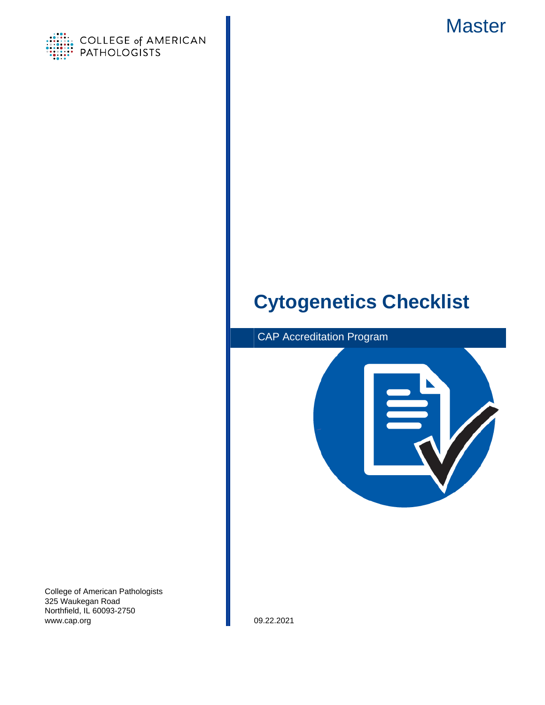



# **Cytogenetics Checklist**



College of American Pathologists 325 Waukegan Road Northfield, IL 60093-2750 www.cap.org 09.22.2021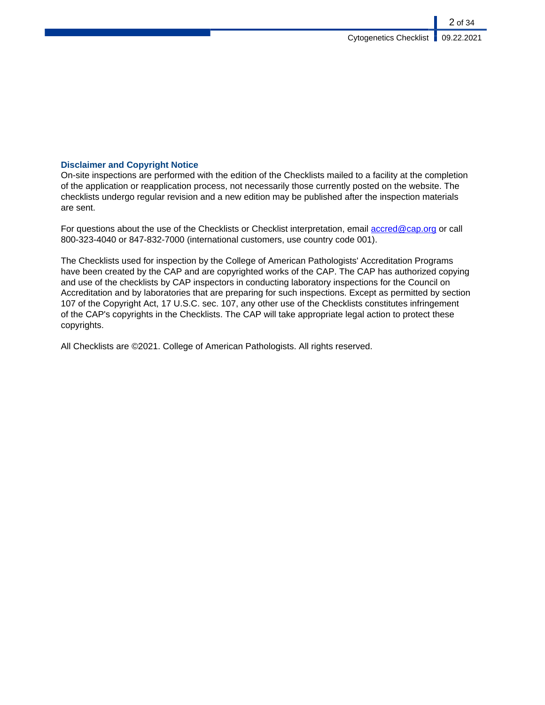### **Disclaimer and Copyright Notice**

On-site inspections are performed with the edition of the Checklists mailed to a facility at the completion of the application or reapplication process, not necessarily those currently posted on the website. The checklists undergo regular revision and a new edition may be published after the inspection materials are sent.

For questions about the use of the Checklists or Checklist interpretation, email [accred@cap.org](mailto:accred@cap.org) or call 800-323-4040 or 847-832-7000 (international customers, use country code 001).

The Checklists used for inspection by the College of American Pathologists' Accreditation Programs have been created by the CAP and are copyrighted works of the CAP. The CAP has authorized copying and use of the checklists by CAP inspectors in conducting laboratory inspections for the Council on Accreditation and by laboratories that are preparing for such inspections. Except as permitted by section 107 of the Copyright Act, 17 U.S.C. sec. 107, any other use of the Checklists constitutes infringement of the CAP's copyrights in the Checklists. The CAP will take appropriate legal action to protect these copyrights.

All Checklists are ©2021. College of American Pathologists. All rights reserved.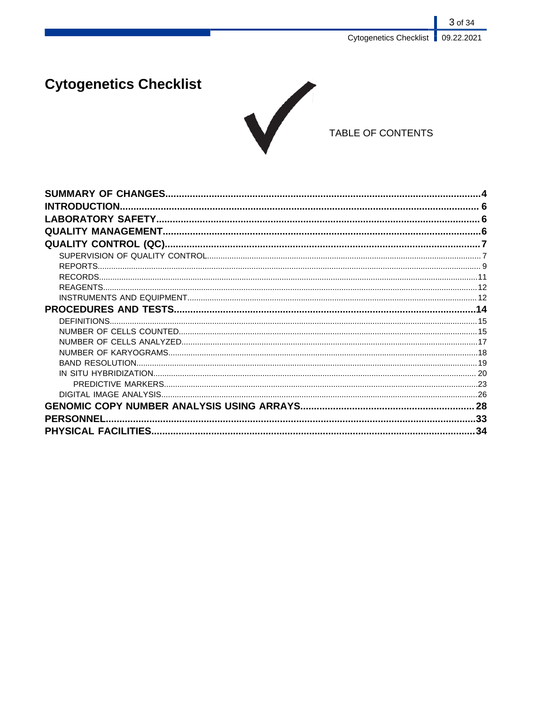# **Cytogenetics Checklist**



## TABLE OF CONTENTS

| <b>INTRODUCTION.</b> |  |
|----------------------|--|
|                      |  |
|                      |  |
|                      |  |
|                      |  |
|                      |  |
|                      |  |
|                      |  |
|                      |  |
|                      |  |
|                      |  |
|                      |  |
|                      |  |
|                      |  |
|                      |  |
|                      |  |
|                      |  |
|                      |  |
|                      |  |
| <b>PERSONNEL</b>     |  |
|                      |  |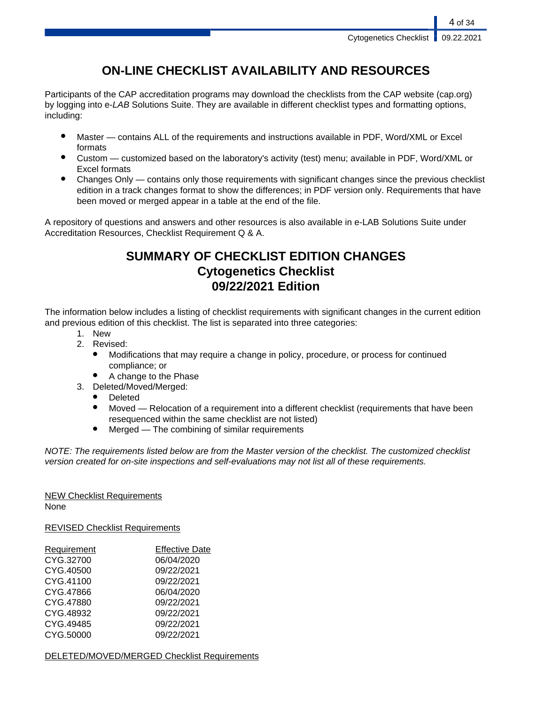## **ON-LINE CHECKLIST AVAILABILITY AND RESOURCES**

Participants of the CAP accreditation programs may download the checklists from the CAP website (cap.org) by logging into e-LAB Solutions Suite. They are available in different checklist types and formatting options, including:

- Master contains ALL of the requirements and instructions available in PDF, Word/XML or Excel formats
- Custom customized based on the laboratory's activity (test) menu; available in PDF, Word/XML or Excel formats
- Changes Only contains only those requirements with significant changes since the previous checklist edition in a track changes format to show the differences; in PDF version only. Requirements that have been moved or merged appear in a table at the end of the file.

A repository of questions and answers and other resources is also available in e-LAB Solutions Suite under Accreditation Resources, Checklist Requirement Q & A.

## **SUMMARY OF CHECKLIST EDITION CHANGES Cytogenetics Checklist 09/22/2021 Edition**

The information below includes a listing of checklist requirements with significant changes in the current edition and previous edition of this checklist. The list is separated into three categories:

- 1. New
- 2. Revised:
	- Modifications that may require a change in policy, procedure, or process for continued compliance; or
	- A change to the Phase
- 3. Deleted/Moved/Merged:
	- **Deleted**
	- Moved Relocation of a requirement into a different checklist (requirements that have been resequenced within the same checklist are not listed)
	- $Mered$  The combining of similar requirements

NOTE: The requirements listed below are from the Master version of the checklist. The customized checklist version created for on-site inspections and self-evaluations may not list all of these requirements.

## NEW Checklist Requirements

None

REVISED Checklist Requirements

| Requirement | <b>Effective Date</b> |
|-------------|-----------------------|
| CYG.32700   | 06/04/2020            |
| CYG.40500   | 09/22/2021            |
| CYG.41100   | 09/22/2021            |
| CYG.47866   | 06/04/2020            |
| CYG.47880   | 09/22/2021            |
| CYG.48932   | 09/22/2021            |
| CYG.49485   | 09/22/2021            |
| CYG.50000   | 09/22/2021            |

DELETED/MOVED/MERGED Checklist Requirements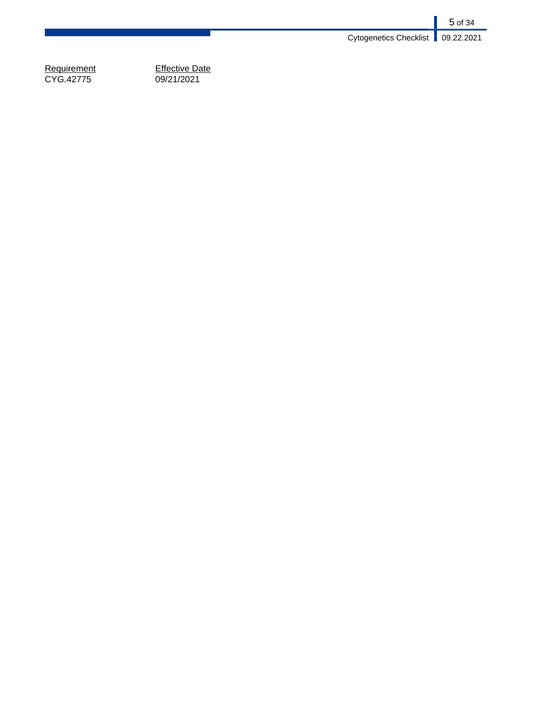5 of 34 Cytogenetics Checklist 09.22.2021

Requirement<br>CYG.42775

Effective Date<br>09/21/2021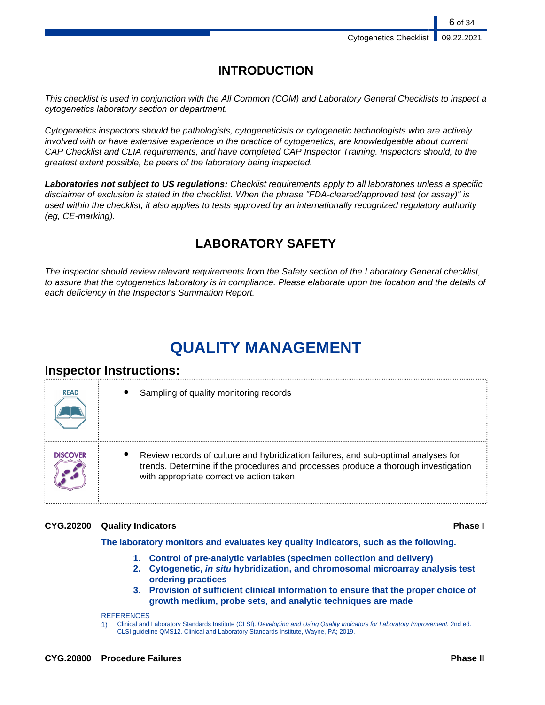## **INTRODUCTION**

This checklist is used in conjunction with the All Common (COM) and Laboratory General Checklists to inspect a cytogenetics laboratory section or department.

Cytogenetics inspectors should be pathologists, cytogeneticists or cytogenetic technologists who are actively involved with or have extensive experience in the practice of cytogenetics, are knowledgeable about current CAP Checklist and CLIA requirements, and have completed CAP Inspector Training. Inspectors should, to the greatest extent possible, be peers of the laboratory being inspected.

**Laboratories not subject to US regulations:** Checklist requirements apply to all laboratories unless a specific disclaimer of exclusion is stated in the checklist. When the phrase "FDA-cleared/approved test (or assay)" is used within the checklist, it also applies to tests approved by an internationally recognized regulatory authority (eg, CE-marking).

## **LABORATORY SAFETY**

The inspector should review relevant requirements from the Safety section of the Laboratory General checklist, to assure that the cytogenetics laboratory is in compliance. Please elaborate upon the location and the details of each deficiency in the Inspector's Summation Report.

# **QUALITY MANAGEMENT**

## **Inspector Instructions:**

| <b>READ</b> | Sampling of quality monitoring records                                                                                                                                                                                |
|-------------|-----------------------------------------------------------------------------------------------------------------------------------------------------------------------------------------------------------------------|
| DISCOVER    | Review records of culture and hybridization failures, and sub-optimal analyses for<br>trends. Determine if the procedures and processes produce a thorough investigation<br>with appropriate corrective action taken. |

#### **CYG.20200 Quality Indicators Phase I**

**The laboratory monitors and evaluates key quality indicators, such as the following.**

- **1. Control of pre-analytic variables (specimen collection and delivery)**
- **2. Cytogenetic, in situ hybridization, and chromosomal microarray analysis test ordering practices**
- **3. Provision of sufficient clinical information to ensure that the proper choice of growth medium, probe sets, and analytic techniques are made**

**REFERENCES** 

1) Clinical and Laboratory Standards Institute (CLSI). Developing and Using Quality Indicators for Laboratory Improvement. 2nd ed. CLSI guideline QMS12. Clinical and Laboratory Standards Institute, Wayne, PA; 2019.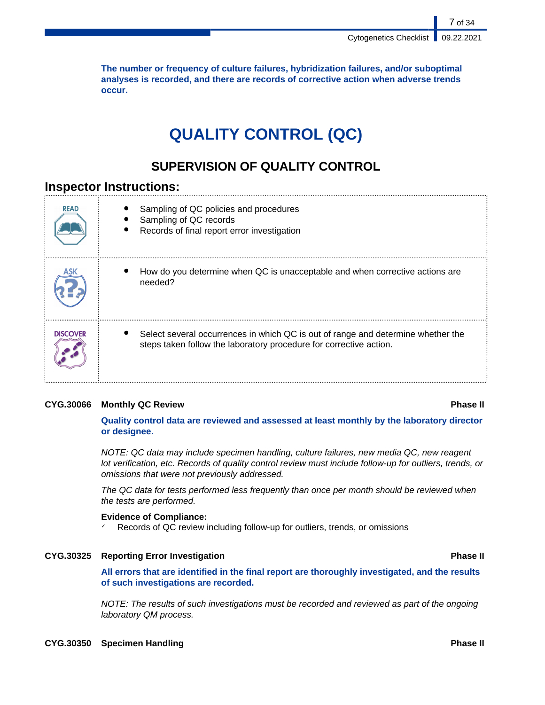**The number or frequency of culture failures, hybridization failures, and/or suboptimal analyses is recorded, and there are records of corrective action when adverse trends occur.**

# **QUALITY CONTROL (QC)**

## **SUPERVISION OF QUALITY CONTROL**

## **Inspector Instructions:**

| <b>READ</b>     | Sampling of QC policies and procedures<br>Sampling of QC records<br>Records of final report error investigation                                        |
|-----------------|--------------------------------------------------------------------------------------------------------------------------------------------------------|
|                 | How do you determine when QC is unacceptable and when corrective actions are<br>needed?                                                                |
| <b>DISCOVER</b> | Select several occurrences in which QC is out of range and determine whether the<br>steps taken follow the laboratory procedure for corrective action. |

### **CYG.30066 Monthly QC Review Phase II**

**Quality control data are reviewed and assessed at least monthly by the laboratory director or designee.**

NOTE: QC data may include specimen handling, culture failures, new media QC, new reagent lot verification, etc. Records of quality control review must include follow-up for outliers, trends, or omissions that were not previously addressed.

The QC data for tests performed less frequently than once per month should be reviewed when the tests are performed.

#### **Evidence of Compliance:**

Records of QC review including follow-up for outliers, trends, or omissions

#### **CYG.30325 Reporting Error Investigation Phase II**

**All errors that are identified in the final report are thoroughly investigated, and the results of such investigations are recorded.**

NOTE: The results of such investigations must be recorded and reviewed as part of the ongoing laboratory QM process.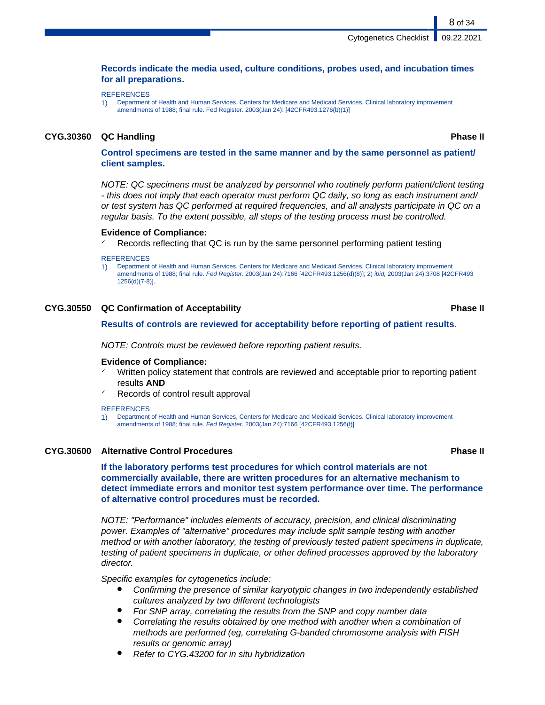#### **Records indicate the media used, culture conditions, probes used, and incubation times for all preparations.**

**REFERENCES** 

1) Department of Health and Human Services, Centers for Medicare and Medicaid Services, Clinical laboratory improvement amendments of 1988; final rule. Fed Register. 2003(Jan 24): [42CFR493.1276(b)(1)]

#### **CYG.30360 QC Handling Phase II**

8 of 34

**Control specimens are tested in the same manner and by the same personnel as patient/ client samples.**

NOTE: QC specimens must be analyzed by personnel who routinely perform patient/client testing - this does not imply that each operator must perform QC daily, so long as each instrument and/ or test system has QC performed at required frequencies, and all analysts participate in QC on a regular basis. To the extent possible, all steps of the testing process must be controlled.

#### **Evidence of Compliance:**

Records reflecting that QC is run by the same personnel performing patient testing

#### **REFERENCES**

1) Department of Health and Human Services, Centers for Medicare and Medicaid Services. Clinical laboratory improvement amendments of 1988; final rule. Fed Register. 2003(Jan 24):7166 [42CFR493.1256(d)(8)]; 2) ibid, 2003(Jan 24):3708 [42CFR493 1256(d)(7-8)].

#### **CYG.30550 QC Confirmation of Acceptability Phase II**

**Results of controls are reviewed for acceptability before reporting of patient results.**

NOTE: Controls must be reviewed before reporting patient results.

#### **Evidence of Compliance:**

- Written policy statement that controls are reviewed and acceptable prior to reporting patient results **AND**
- Records of control result approval

#### **REFERENCES**

1) Department of Health and Human Services, Centers for Medicare and Medicaid Services. Clinical laboratory improvement amendments of 1988; final rule. Fed Register. 2003(Jan 24):7166 [42CFR493.1256(f)]

#### **CYG.30600 Alternative Control Procedures Phase II**

#### **If the laboratory performs test procedures for which control materials are not commercially available, there are written procedures for an alternative mechanism to detect immediate errors and monitor test system performance over time. The performance of alternative control procedures must be recorded.**

NOTE: "Performance" includes elements of accuracy, precision, and clinical discriminating power. Examples of "alternative" procedures may include split sample testing with another method or with another laboratory, the testing of previously tested patient specimens in duplicate, testing of patient specimens in duplicate, or other defined processes approved by the laboratory director.

Specific examples for cytogenetics include:

- Confirming the presence of similar karyotypic changes in two independently established cultures analyzed by two different technologists
- For SNP array, correlating the results from the SNP and copy number data
- Correlating the results obtained by one method with another when a combination of methods are performed (eg, correlating G-banded chromosome analysis with FISH results or genomic array)
- Refer to CYG.43200 for in situ hybridization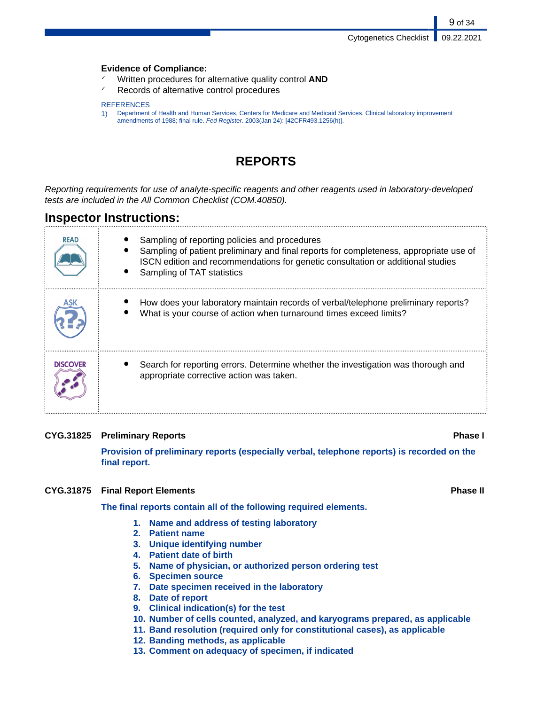#### **Evidence of Compliance:**

- ✓ Written procedures for alternative quality control **AND**
- ✓ Records of alternative control procedures

#### **REFERENCES**

1) Department of Health and Human Services, Centers for Medicare and Medicaid Services. Clinical laboratory improvement amendments of 1988; final rule. Fed Register. 2003(Jan 24): [42CFR493.1256(h)].

## **REPORTS**

Reporting requirements for use of analyte-specific reagents and other reagents used in laboratory-developed tests are included in the All Common Checklist (COM.40850).

## **Inspector Instructions:**

| <b>READ</b>     | Sampling of reporting policies and procedures<br>Sampling of patient preliminary and final reports for completeness, appropriate use of<br>ISCN edition and recommendations for genetic consultation or additional studies<br>Sampling of TAT statistics |
|-----------------|----------------------------------------------------------------------------------------------------------------------------------------------------------------------------------------------------------------------------------------------------------|
|                 | How does your laboratory maintain records of verbal/telephone preliminary reports?<br>What is your course of action when turnaround times exceed limits?                                                                                                 |
| <b>DISCOVER</b> | Search for reporting errors. Determine whether the investigation was thorough and<br>appropriate corrective action was taken.                                                                                                                            |

### **CYG.31825 Preliminary Reports Phase I**

**Provision of preliminary reports (especially verbal, telephone reports) is recorded on the final report.**

#### **CYG.31875 Final Report Elements Phase II**

**The final reports contain all of the following required elements.**

- **1. Name and address of testing laboratory**
- **2. Patient name**
- **3. Unique identifying number**
- **4. Patient date of birth**
- **5. Name of physician, or authorized person ordering test**
- **6. Specimen source**
- **7. Date specimen received in the laboratory**
- **8. Date of report**
- **9. Clinical indication(s) for the test**
- **10. Number of cells counted, analyzed, and karyograms prepared, as applicable**
- **11. Band resolution (required only for constitutional cases), as applicable**
- **12. Banding methods, as applicable**
- **13. Comment on adequacy of specimen, if indicated**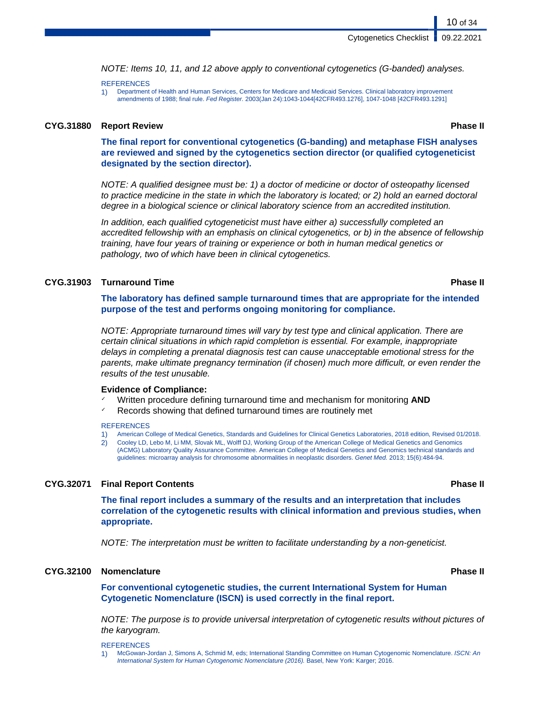NOTE: Items 10, 11, and 12 above apply to conventional cytogenetics (G-banded) analyses.

#### **REFERENCES**

1) Department of Health and Human Services, Centers for Medicare and Medicaid Services. Clinical laboratory improvement amendments of 1988; final rule. Fed Register. 2003(Jan 24):1043-1044[42CFR493.1276], 1047-1048 [42CFR493.1291]

#### **CYG.31880 Report Review Phase II**

10 of 34

**The final report for conventional cytogenetics (G-banding) and metaphase FISH analyses are reviewed and signed by the cytogenetics section director (or qualified cytogeneticist designated by the section director).**

NOTE: A qualified designee must be: 1) a doctor of medicine or doctor of osteopathy licensed to practice medicine in the state in which the laboratory is located; or 2) hold an earned doctoral degree in a biological science or clinical laboratory science from an accredited institution.

In addition, each qualified cytogeneticist must have either a) successfully completed an accredited fellowship with an emphasis on clinical cytogenetics, or b) in the absence of fellowship training, have four years of training or experience or both in human medical genetics or pathology, two of which have been in clinical cytogenetics.

#### **CYG.31903 Turnaround Time Phase II**

**The laboratory has defined sample turnaround times that are appropriate for the intended purpose of the test and performs ongoing monitoring for compliance.**

NOTE: Appropriate turnaround times will vary by test type and clinical application. There are certain clinical situations in which rapid completion is essential. For example, inappropriate delays in completing a prenatal diagnosis test can cause unacceptable emotional stress for the parents, make ultimate pregnancy termination (if chosen) much more difficult, or even render the results of the test unusable.

#### **Evidence of Compliance:**

- Written procedure defining turnaround time and mechanism for monitoring **AND**
- ✓ Records showing that defined turnaround times are routinely met

#### **REFERENCES**

- 1) American College of Medical Genetics, Standards and Guidelines for Clinical Genetics Laboratories, 2018 edition, Revised 01/2018.
- 2) Cooley LD, Lebo M, Li MM, Slovak ML, Wolff DJ, Working Group of the American College of Medical Genetics and Genomics (ACMG) Laboratory Quality Assurance Committee. American College of Medical Genetics and Genomics technical standards and guidelines: microarray analysis for chromosome abnormalities in neoplastic disorders. Genet Med. 2013; 15(6):484-94.

#### **CYG.32071 Final Report Contents Phase II**

**The final report includes a summary of the results and an interpretation that includes correlation of the cytogenetic results with clinical information and previous studies, when appropriate.**

NOTE: The interpretation must be written to facilitate understanding by a non-geneticist.

#### **CYG.32100 Nomenclature Phase II**

**For conventional cytogenetic studies, the current International System for Human Cytogenetic Nomenclature (ISCN) is used correctly in the final report.**

NOTE: The purpose is to provide universal interpretation of cytogenetic results without pictures of the karyogram.

**REFERENCES** 

1) McGowan-Jordan J, Simons A, Schmid M, eds; International Standing Committee on Human Cytogenomic Nomenclature. ISCN: An International System for Human Cytogenomic Nomenclature (2016). Basel, New York: Karger; 2016.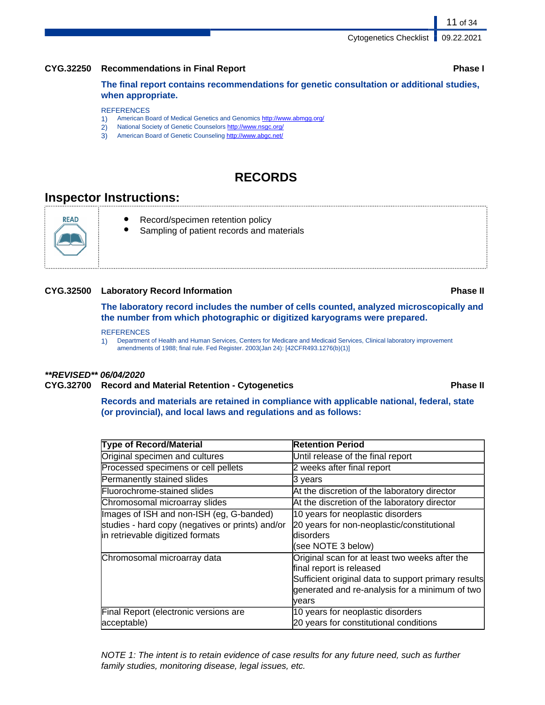#### **CYG.32250 Recommendations in Final Report Phase I**

**The final report contains recommendations for genetic consultation or additional studies, when appropriate.**

#### **REFERENCES**

- 1) American Board of Medical Genetics and Genomics<http://www.abmgg.org/>
- 2) National Society of Genetic Counselors<http://www.nsgc.org/>
- 3) American Board of Genetic Counseling <http://www.abgc.net/>

## **RECORDS**

## **Inspector Instructions:**

**READ** 

- Record/specimen retention policy
	- Sampling of patient records and materials

#### **CYG.32500 Laboratory Record Information Phase II**

**The laboratory record includes the number of cells counted, analyzed microscopically and the number from which photographic or digitized karyograms were prepared.**

#### **REFERENCES**

1) Department of Health and Human Services, Centers for Medicare and Medicaid Services, Clinical laboratory improvement amendments of 1988; final rule. Fed Register. 2003(Jan 24): [42CFR493.1276(b)(1)]

#### **\*\*REVISED\*\* 06/04/2020**

#### **CYG.32700 Record and Material Retention - Cytogenetics Phase II**

**Records and materials are retained in compliance with applicable national, federal, state (or provincial), and local laws and regulations and as follows:**

| <b>Type of Record/Material</b>                   | <b>Retention Period</b>                             |
|--------------------------------------------------|-----------------------------------------------------|
| Original specimen and cultures                   | Until release of the final report                   |
| Processed specimens or cell pellets              | 2 weeks after final report                          |
| Permanently stained slides                       | 3 years                                             |
| Fluorochrome-stained slides                      | At the discretion of the laboratory director        |
| Chromosomal microarray slides                    | At the discretion of the laboratory director        |
| Images of ISH and non-ISH (eg, G-banded)         | 10 years for neoplastic disorders                   |
| studies - hard copy (negatives or prints) and/or | 20 years for non-neoplastic/constitutional          |
| in retrievable digitized formats                 | ldisorders                                          |
|                                                  | (see NOTE 3 below)                                  |
| Chromosomal microarray data                      | Original scan for at least two weeks after the      |
|                                                  | final report is released                            |
|                                                  | Sufficient original data to support primary results |
|                                                  | generated and re-analysis for a minimum of two      |
|                                                  | lvears                                              |
| Final Report (electronic versions are            | 10 years for neoplastic disorders                   |
| acceptable)                                      | 20 years for constitutional conditions              |

NOTE 1: The intent is to retain evidence of case results for any future need, such as further family studies, monitoring disease, legal issues, etc.

11 of 34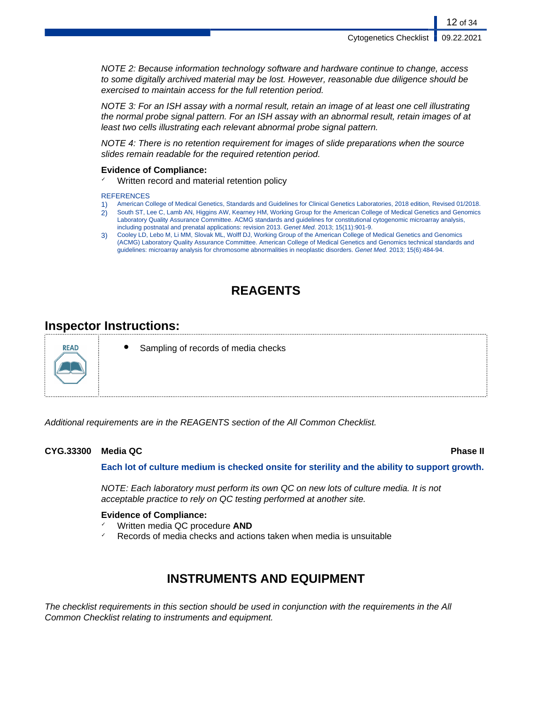NOTE 2: Because information technology software and hardware continue to change, access to some digitally archived material may be lost. However, reasonable due diligence should be exercised to maintain access for the full retention period.

NOTE 3: For an ISH assay with a normal result, retain an image of at least one cell illustrating the normal probe signal pattern. For an ISH assay with an abnormal result, retain images of at least two cells illustrating each relevant abnormal probe signal pattern.

NOTE 4: There is no retention requirement for images of slide preparations when the source slides remain readable for the required retention period.

#### **Evidence of Compliance:**

Written record and material retention policy

#### **REFERENCES**

- 1) American College of Medical Genetics, Standards and Guidelines for Clinical Genetics Laboratories, 2018 edition, Revised 01/2018.
- 2) South ST, Lee C, Lamb AN, Higgins AW, Kearney HM, Working Group for the American College of Medical Genetics and Genomics Laboratory Quality Assurance Committee. ACMG standards and guidelines for constitutional cytogenomic microarray analysis, including postnatal and prenatal applications: revision 2013. Genet Med. 2013; 15(11):901-9.
- 3) Cooley LD, Lebo M, Li MM, Slovak ML, Wolff DJ, Working Group of the American College of Medical Genetics and Genomics (ACMG) Laboratory Quality Assurance Committee. American College of Medical Genetics and Genomics technical standards and guidelines: microarray analysis for chromosome abnormalities in neoplastic disorders. Genet Med. 2013; 15(6):484-94.

## **REAGENTS**

## **Inspector Instructions:**



Sampling of records of media checks

Additional requirements are in the REAGENTS section of the All Common Checklist.

### **CYG.33300 Media QC Phase II**

**Each lot of culture medium is checked onsite for sterility and the ability to support growth.**

NOTE: Each laboratory must perform its own QC on new lots of culture media. It is not acceptable practice to rely on QC testing performed at another site.

#### **Evidence of Compliance:**

- ✓ Written media QC procedure **AND**
- Records of media checks and actions taken when media is unsuitable

## **INSTRUMENTS AND EQUIPMENT**

The checklist requirements in this section should be used in conjunction with the requirements in the All Common Checklist relating to instruments and equipment.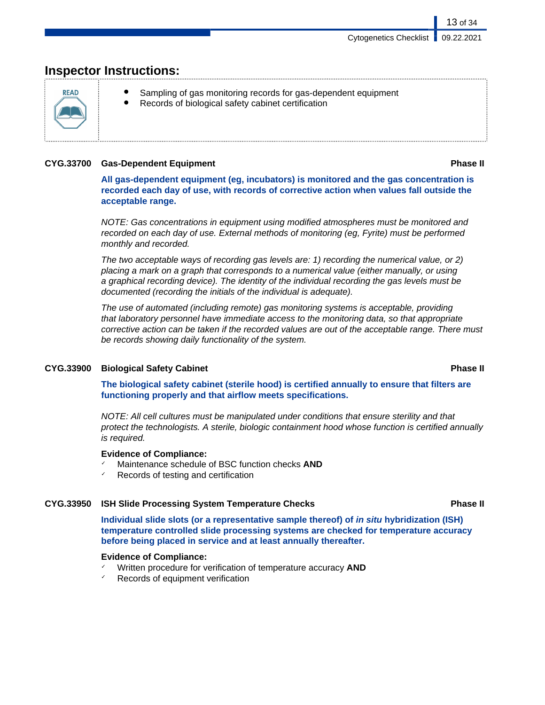## **Inspector Instructions:**



- Sampling of gas monitoring records for gas-dependent equipment
- Records of biological safety cabinet certification

### **CYG.33700 Gas-Dependent Equipment Phase II**

13 of 34

**All gas-dependent equipment (eg, incubators) is monitored and the gas concentration is recorded each day of use, with records of corrective action when values fall outside the acceptable range.**

NOTE: Gas concentrations in equipment using modified atmospheres must be monitored and recorded on each day of use. External methods of monitoring (eg, Fyrite) must be performed monthly and recorded.

The two acceptable ways of recording gas levels are: 1) recording the numerical value, or 2) placing a mark on a graph that corresponds to a numerical value (either manually, or using a graphical recording device). The identity of the individual recording the gas levels must be documented (recording the initials of the individual is adequate).

The use of automated (including remote) gas monitoring systems is acceptable, providing that laboratory personnel have immediate access to the monitoring data, so that appropriate corrective action can be taken if the recorded values are out of the acceptable range. There must be records showing daily functionality of the system.

### **CYG.33900 Biological Safety Cabinet Phase II**

**The biological safety cabinet (sterile hood) is certified annually to ensure that filters are functioning properly and that airflow meets specifications.**

NOTE: All cell cultures must be manipulated under conditions that ensure sterility and that protect the technologists. A sterile, biologic containment hood whose function is certified annually is required.

### **Evidence of Compliance:**

- Maintenance schedule of BSC function checks **AND**
- Records of testing and certification

### **CYG.33950 ISH Slide Processing System Temperature Checks Phase II**

**Individual slide slots (or a representative sample thereof) of in situ hybridization (ISH) temperature controlled slide processing systems are checked for temperature accuracy before being placed in service and at least annually thereafter.**

### **Evidence of Compliance:**

- ✓ Written procedure for verification of temperature accuracy **AND**
- Records of equipment verification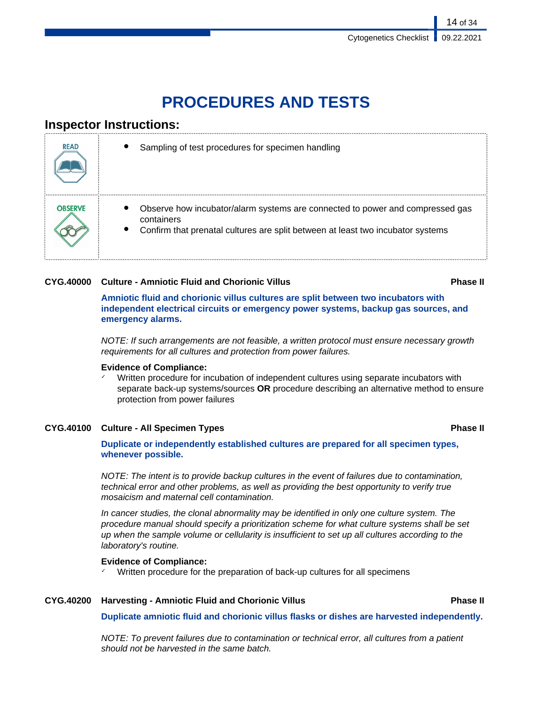# **PROCEDURES AND TESTS**

## **Inspector Instructions:**

| <b>READ</b>    | Sampling of test procedures for specimen handling                                                                                                                              |
|----------------|--------------------------------------------------------------------------------------------------------------------------------------------------------------------------------|
| <b>OBSERVE</b> | Observe how incubator/alarm systems are connected to power and compressed gas<br>containers<br>Confirm that prenatal cultures are split between at least two incubator systems |

### **CYG.40000 Culture - Amniotic Fluid and Chorionic Villus Phase II**

**Amniotic fluid and chorionic villus cultures are split between two incubators with independent electrical circuits or emergency power systems, backup gas sources, and emergency alarms.**

NOTE: If such arrangements are not feasible, a written protocol must ensure necessary growth requirements for all cultures and protection from power failures.

#### **Evidence of Compliance:**

Written procedure for incubation of independent cultures using separate incubators with separate back-up systems/sources **OR** procedure describing an alternative method to ensure protection from power failures

### **CYG.40100 Culture - All Specimen Types Phase II**

**Duplicate or independently established cultures are prepared for all specimen types, whenever possible.**

NOTE: The intent is to provide backup cultures in the event of failures due to contamination, technical error and other problems, as well as providing the best opportunity to verify true mosaicism and maternal cell contamination.

In cancer studies, the clonal abnormality may be identified in only one culture system. The procedure manual should specify a prioritization scheme for what culture systems shall be set up when the sample volume or cellularity is insufficient to set up all cultures according to the laboratory's routine.

#### **Evidence of Compliance:**

✓ Written procedure for the preparation of back-up cultures for all specimens

### **CYG.40200 Harvesting - Amniotic Fluid and Chorionic Villus Phase II**

**Duplicate amniotic fluid and chorionic villus flasks or dishes are harvested independently.**

NOTE: To prevent failures due to contamination or technical error, all cultures from a patient should not be harvested in the same batch.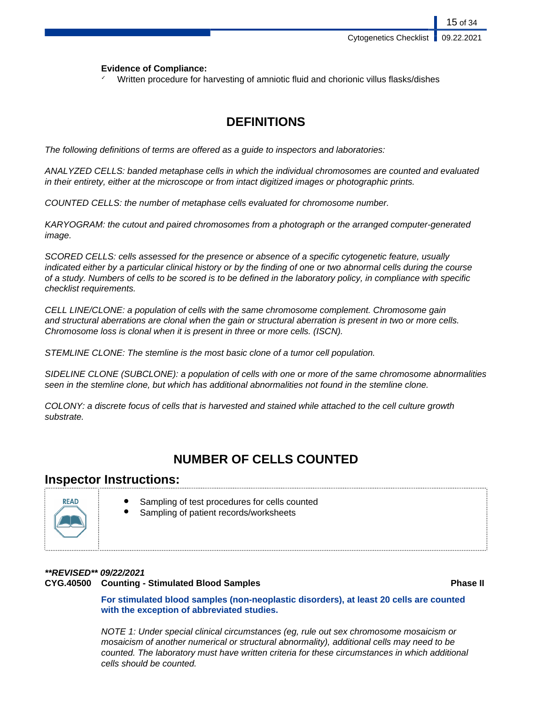15 of 34

#### **Evidence of Compliance:**

Written procedure for harvesting of amniotic fluid and chorionic villus flasks/dishes

## **DEFINITIONS**

The following definitions of terms are offered as a guide to inspectors and laboratories:

ANALYZED CELLS: banded metaphase cells in which the individual chromosomes are counted and evaluated in their entirety, either at the microscope or from intact digitized images or photographic prints.

COUNTED CELLS: the number of metaphase cells evaluated for chromosome number.

KARYOGRAM: the cutout and paired chromosomes from a photograph or the arranged computer-generated image.

SCORED CELLS: cells assessed for the presence or absence of a specific cytogenetic feature, usually indicated either by a particular clinical history or by the finding of one or two abnormal cells during the course of a study. Numbers of cells to be scored is to be defined in the laboratory policy, in compliance with specific checklist requirements.

CELL LINE/CLONE: a population of cells with the same chromosome complement. Chromosome gain and structural aberrations are clonal when the gain or structural aberration is present in two or more cells. Chromosome loss is clonal when it is present in three or more cells. (ISCN).

STEMLINE CLONE: The stemline is the most basic clone of a tumor cell population.

SIDELINE CLONE (SUBCLONE): a population of cells with one or more of the same chromosome abnormalities seen in the stemline clone, but which has additional abnormalities not found in the stemline clone.

COLONY: a discrete focus of cells that is harvested and stained while attached to the cell culture growth substrate.

## **NUMBER OF CELLS COUNTED**

### **Inspector Instructions:**



- Sampling of test procedures for cells counted
	- Sampling of patient records/worksheets

## **\*\*REVISED\*\* 09/22/2021 CYG.40500 Counting - Stimulated Blood Samples Phase II**

**For stimulated blood samples (non-neoplastic disorders), at least 20 cells are counted with the exception of abbreviated studies.**

NOTE 1: Under special clinical circumstances (eg, rule out sex chromosome mosaicism or mosaicism of another numerical or structural abnormality), additional cells may need to be counted. The laboratory must have written criteria for these circumstances in which additional cells should be counted.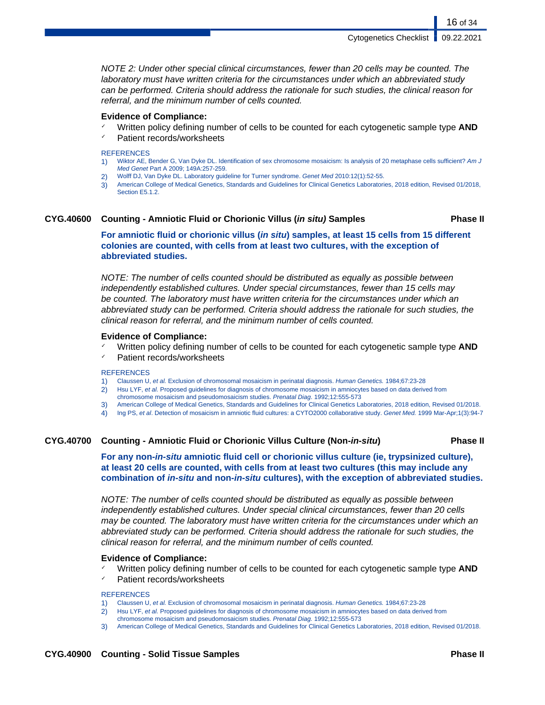Cytogenetics Checklist

NOTE 2: Under other special clinical circumstances, fewer than 20 cells may be counted. The laboratory must have written criteria for the circumstances under which an abbreviated study can be performed. Criteria should address the rationale for such studies, the clinical reason for referral, and the minimum number of cells counted.

#### **Evidence of Compliance:**

- Written policy defining number of cells to be counted for each cytogenetic sample type AND
- ✓ Patient records/worksheets

#### **REFERENCES**

- 1) Wiktor AE, Bender G, Van Dyke DL. Identification of sex chromosome mosaicism: Is analysis of 20 metaphase cells sufficient? Am J Med Genet Part A 2009; 149A:257-259.
- 2) Wolff DJ, Van Dyke DL. Laboratory guideline for Turner syndrome. Genet Med 2010:12(1):52-55.
- 3) American College of Medical Genetics, Standards and Guidelines for Clinical Genetics Laboratories, 2018 edition, Revised 01/2018, Section E5.1.2.

#### **CYG.40600 Counting - Amniotic Fluid or Chorionic Villus (in situ) Samples Phase II**

16 of 34

**For amniotic fluid or chorionic villus (in situ) samples, at least 15 cells from 15 different colonies are counted, with cells from at least two cultures, with the exception of abbreviated studies.**

NOTE: The number of cells counted should be distributed as equally as possible between independently established cultures. Under special circumstances, fewer than 15 cells may be counted. The laboratory must have written criteria for the circumstances under which an abbreviated study can be performed. Criteria should address the rationale for such studies, the clinical reason for referral, and the minimum number of cells counted.

#### **Evidence of Compliance:**

- Written policy defining number of cells to be counted for each cytogenetic sample type AND
- Patient records/worksheets

#### **REFERENCES**

- 1) Claussen U, et al. Exclusion of chromosomal mosaicism in perinatal diagnosis. Human Genetics. 1984;67:23-28
- 2) Hsu LYF, et al. Proposed guidelines for diagnosis of chromosome mosaicism in amniocytes based on data derived from chromosome mosaicism and pseudomosaicism studies. Prenatal Diag. 1992;12:555-573
- 3) American College of Medical Genetics, Standards and Guidelines for Clinical Genetics Laboratories, 2018 edition, Revised 01/2018.
- 4) Ing PS, et al. Detection of mosaicism in amniotic fluid cultures: a CYTO2000 collaborative study. Genet Med. 1999 Mar-Apr;1(3):94-7

#### **CYG.40700 Counting - Amniotic Fluid or Chorionic Villus Culture (Non-in-situ) Phase II**

**For any non-in-situ amniotic fluid cell or chorionic villus culture (ie, trypsinized culture), at least 20 cells are counted, with cells from at least two cultures (this may include any combination of in-situ and non-in-situ cultures), with the exception of abbreviated studies.**

NOTE: The number of cells counted should be distributed as equally as possible between independently established cultures. Under special clinical circumstances, fewer than 20 cells may be counted. The laboratory must have written criteria for the circumstances under which an abbreviated study can be performed. Criteria should address the rationale for such studies, the clinical reason for referral, and the minimum number of cells counted.

#### **Evidence of Compliance:**

- Written policy defining number of cells to be counted for each cytogenetic sample type AND
- Patient records/worksheets

**REFERENCES** 

- 1) Claussen U, et al. Exclusion of chromosomal mosaicism in perinatal diagnosis. Human Genetics. 1984;67:23-28
- 2) Hsu LYF, et al. Proposed guidelines for diagnosis of chromosome mosaicism in amniocytes based on data derived from
- chromosome mosaicism and pseudomosaicism studies. Prenatal Diag. 1992;12:555-573
- 3) American College of Medical Genetics, Standards and Guidelines for Clinical Genetics Laboratories, 2018 edition, Revised 01/2018.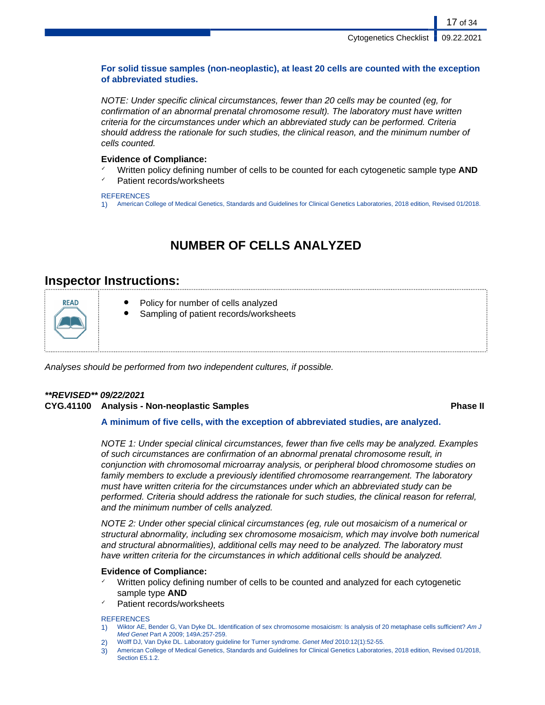### **For solid tissue samples (non-neoplastic), at least 20 cells are counted with the exception of abbreviated studies.**

NOTE: Under specific clinical circumstances, fewer than 20 cells may be counted (eg, for confirmation of an abnormal prenatal chromosome result). The laboratory must have written criteria for the circumstances under which an abbreviated study can be performed. Criteria should address the rationale for such studies, the clinical reason, and the minimum number of cells counted.

### **Evidence of Compliance:**

- ✓ Written policy defining number of cells to be counted for each cytogenetic sample type **AND**
- Patient records/worksheets

#### **REFERENCES**

1) American College of Medical Genetics, Standards and Guidelines for Clinical Genetics Laboratories, 2018 edition, Revised 01/2018.

## **NUMBER OF CELLS ANALYZED**

## **Inspector Instructions:**



Analyses should be performed from two independent cultures, if possible.

#### **\*\*REVISED\*\* 09/22/2021 CYG.41100 Analysis - Non-neoplastic Samples Phase II**

#### **A minimum of five cells, with the exception of abbreviated studies, are analyzed.**

NOTE 1: Under special clinical circumstances, fewer than five cells may be analyzed. Examples of such circumstances are confirmation of an abnormal prenatal chromosome result, in conjunction with chromosomal microarray analysis, or peripheral blood chromosome studies on family members to exclude a previously identified chromosome rearrangement. The laboratory must have written criteria for the circumstances under which an abbreviated study can be performed. Criteria should address the rationale for such studies, the clinical reason for referral, and the minimum number of cells analyzed.

NOTE 2: Under other special clinical circumstances (eg, rule out mosaicism of a numerical or structural abnormality, including sex chromosome mosaicism, which may involve both numerical and structural abnormalities), additional cells may need to be analyzed. The laboratory must have written criteria for the circumstances in which additional cells should be analyzed.

#### **Evidence of Compliance:**

- Written policy defining number of cells to be counted and analyzed for each cytogenetic sample type **AND**
- Patient records/worksheets

#### **REFERENCES**

- 1) Wiktor AE, Bender G, Van Dyke DL. Identification of sex chromosome mosaicism: Is analysis of 20 metaphase cells sufficient? Am J Med Genet Part A 2009; 149A:257-259.
- 2) Wolff DJ, Van Dyke DL. Laboratory guideline for Turner syndrome. Genet Med 2010:12(1):52-55.
- 3) American College of Medical Genetics, Standards and Guidelines for Clinical Genetics Laboratories, 2018 edition, Revised 01/2018, Section E5.1.2.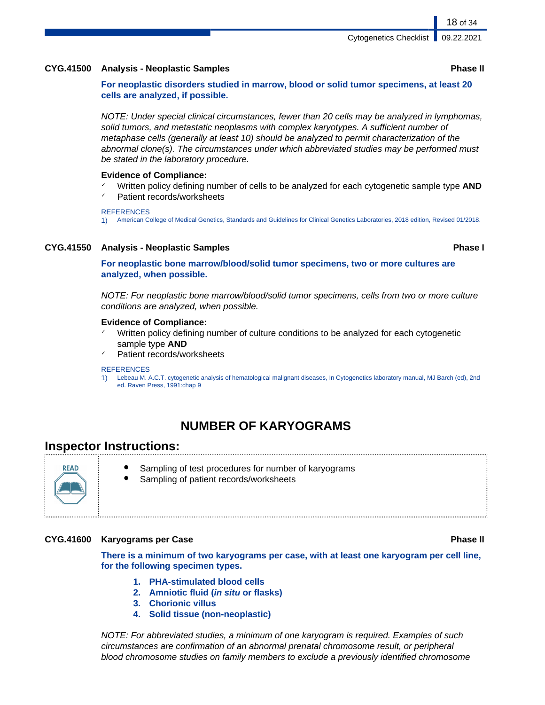#### **CYG.41500 Analysis - Neoplastic Samples Phase II**

**For neoplastic disorders studied in marrow, blood or solid tumor specimens, at least 20 cells are analyzed, if possible.**

NOTE: Under special clinical circumstances, fewer than 20 cells may be analyzed in lymphomas, solid tumors, and metastatic neoplasms with complex karyotypes. A sufficient number of metaphase cells (generally at least 10) should be analyzed to permit characterization of the abnormal clone(s). The circumstances under which abbreviated studies may be performed must be stated in the laboratory procedure.

#### **Evidence of Compliance:**

- Written policy defining number of cells to be analyzed for each cytogenetic sample type **AND**
- Patient records/worksheets

#### **REFERENCES**

1) American College of Medical Genetics, Standards and Guidelines for Clinical Genetics Laboratories, 2018 edition, Revised 01/2018.

#### **CYG.41550 Analysis - Neoplastic Samples Phase I**

**For neoplastic bone marrow/blood/solid tumor specimens, two or more cultures are analyzed, when possible.**

NOTE: For neoplastic bone marrow/blood/solid tumor specimens, cells from two or more culture conditions are analyzed, when possible.

#### **Evidence of Compliance:**

- Written policy defining number of culture conditions to be analyzed for each cytogenetic sample type **AND**
- Patient records/worksheets

#### **REFERENCES**

1) Lebeau M. A.C.T. cytogenetic analysis of hematological malignant diseases, In Cytogenetics laboratory manual, MJ Barch (ed), 2nd ed. Raven Press, 1991:chap 9

## **NUMBER OF KARYOGRAMS**

### **Inspector Instructions:**



- Sampling of test procedures for number of karyograms
- Sampling of patient records/worksheets

#### **CYG.41600 Karyograms per Case Phase II**

**There is a minimum of two karyograms per case, with at least one karyogram per cell line, for the following specimen types.**

- **1. PHA-stimulated blood cells**
- **2. Amniotic fluid (in situ or flasks)**
- **3. Chorionic villus**
- **4. Solid tissue (non-neoplastic)**

NOTE: For abbreviated studies, a minimum of one karyogram is required. Examples of such circumstances are confirmation of an abnormal prenatal chromosome result, or peripheral blood chromosome studies on family members to exclude a previously identified chromosome

18 of 34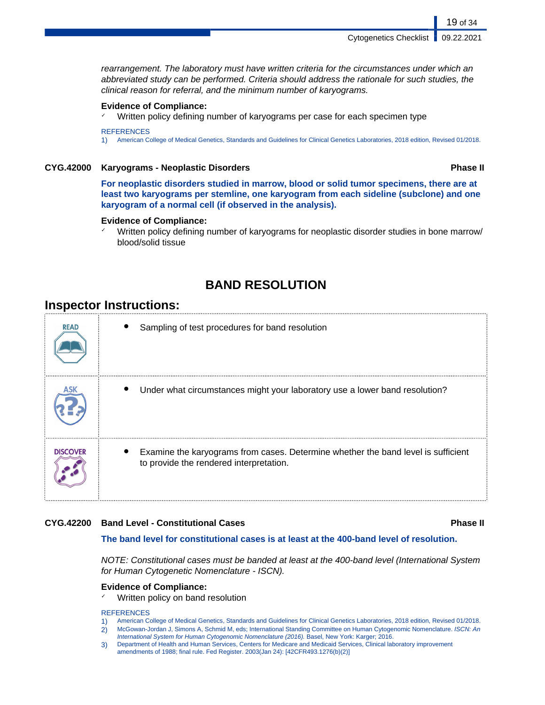rearrangement. The laboratory must have written criteria for the circumstances under which an abbreviated study can be performed. Criteria should address the rationale for such studies, the clinical reason for referral, and the minimum number of karyograms.

#### **Evidence of Compliance:**

Written policy defining number of karyograms per case for each specimen type

**REFERENCES** 1) American College of Medical Genetics, Standards and Guidelines for Clinical Genetics Laboratories, 2018 edition, Revised 01/2018.

#### **CYG.42000 Karyograms - Neoplastic Disorders Phase II**

19 of 34

**For neoplastic disorders studied in marrow, blood or solid tumor specimens, there are at least two karyograms per stemline, one karyogram from each sideline (subclone) and one karyogram of a normal cell (if observed in the analysis).**

#### **Evidence of Compliance:**

Written policy defining number of karyograms for neoplastic disorder studies in bone marrow/ blood/solid tissue

## **BAND RESOLUTION**

## **Inspector Instructions:**

| <b>READ</b>     | Sampling of test procedures for band resolution                                                                              |
|-----------------|------------------------------------------------------------------------------------------------------------------------------|
|                 | Under what circumstances might your laboratory use a lower band resolution?                                                  |
| <b>DISCOVER</b> | Examine the karyograms from cases. Determine whether the band level is sufficient<br>to provide the rendered interpretation. |

#### **CYG.42200 Band Level - Constitutional Cases Phase II**

#### **The band level for constitutional cases is at least at the 400-band level of resolution.**

NOTE: Constitutional cases must be banded at least at the 400-band level (International System for Human Cytogenetic Nomenclature - ISCN).

#### **Evidence of Compliance:**

✓ Written policy on band resolution

#### **REFERENCES**

- 1) American College of Medical Genetics, Standards and Guidelines for Clinical Genetics Laboratories, 2018 edition, Revised 01/2018.
- 2) McGowan-Jordan J, Simons A, Schmid M, eds; International Standing Committee on Human Cytogenomic Nomenclature. ISCN: An International System for Human Cytogenomic Nomenclature (2016). Basel, New York: Karger; 2016.
- 3) Department of Health and Human Services, Centers for Medicare and Medicaid Services, Clinical laboratory improvement amendments of 1988; final rule. Fed Register. 2003(Jan 24): [42CFR493.1276(b)(2)]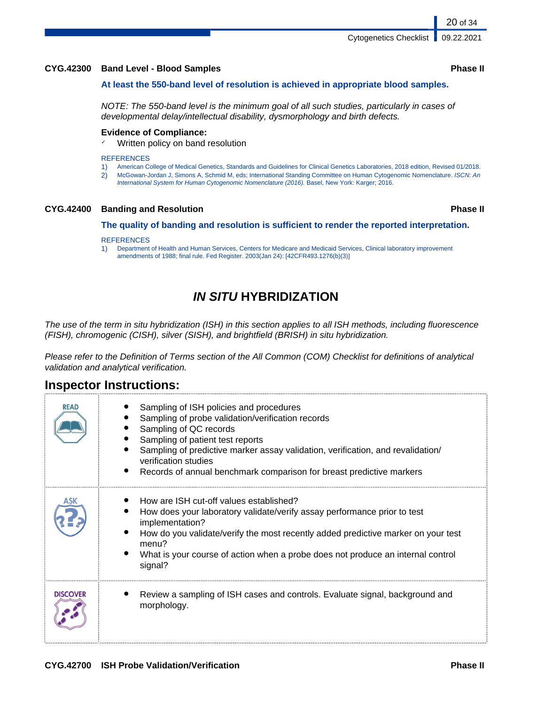### **CYG.42300 Band Level - Blood Samples Phase II**

#### **At least the 550-band level of resolution is achieved in appropriate blood samples.**

NOTE: The 550-band level is the minimum goal of all such studies, particularly in cases of developmental delay/intellectual disability, dysmorphology and birth defects.

#### **Evidence of Compliance:**

✓ Written policy on band resolution

#### **REFERENCES**

- 1) American College of Medical Genetics, Standards and Guidelines for Clinical Genetics Laboratories, 2018 edition, Revised 01/2018.
- 2) McGowan-Jordan J, Simons A, Schmid M, eds; International Standing Committee on Human Cytogenomic Nomenclature. ISCN: An International System for Human Cytogenomic Nomenclature (2016). Basel, New York: Karger; 2016.

#### **CYG.42400 Banding and Resolution Phase II**

#### **The quality of banding and resolution is sufficient to render the reported interpretation.**

#### **REFERENCES**

1) Department of Health and Human Services, Centers for Medicare and Medicaid Services, Clinical laboratory improvement amendments of 1988; final rule. Fed Register. 2003(Jan 24): [42CFR493.1276(b)(3)]

## **IN SITU HYBRIDIZATION**

The use of the term in situ hybridization (ISH) in this section applies to all ISH methods, including fluorescence (FISH), chromogenic (CISH), silver (SISH), and brightfield (BRISH) in situ hybridization.

Please refer to the Definition of Terms section of the All Common (COM) Checklist for definitions of analytical validation and analytical verification.

## **Inspector Instructions:**

| <b>READ</b>     | Sampling of ISH policies and procedures<br>Sampling of probe validation/verification records<br>Sampling of QC records<br>Sampling of patient test reports<br>Sampling of predictive marker assay validation, verification, and revalidation/<br>verification studies<br>Records of annual benchmark comparison for breast predictive markers |
|-----------------|-----------------------------------------------------------------------------------------------------------------------------------------------------------------------------------------------------------------------------------------------------------------------------------------------------------------------------------------------|
| ASK             | How are ISH cut-off values established?<br>How does your laboratory validate/verify assay performance prior to test<br>implementation?<br>How do you validate/verify the most recently added predictive marker on your test<br>menu?<br>What is your course of action when a probe does not produce an internal control<br>signal?            |
| <b>DISCOVER</b> | Review a sampling of ISH cases and controls. Evaluate signal, background and<br>morphology.                                                                                                                                                                                                                                                   |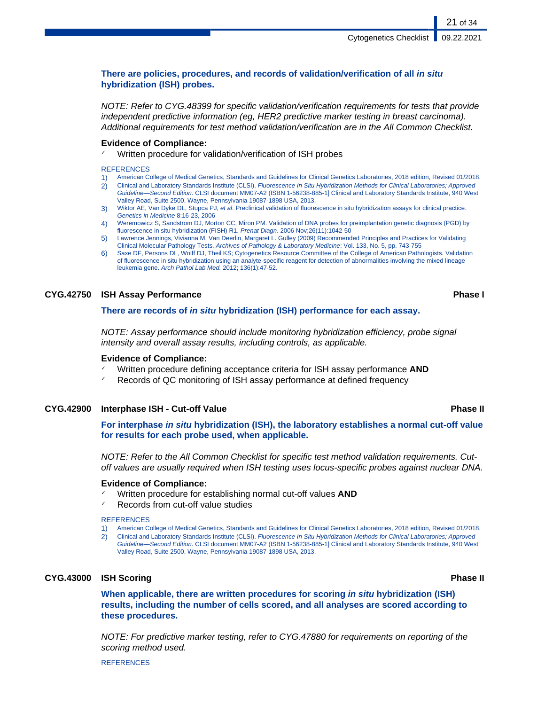#### **There are policies, procedures, and records of validation/verification of all in situ hybridization (ISH) probes.**

NOTE: Refer to CYG.48399 for specific validation/verification requirements for tests that provide independent predictive information (eg, HER2 predictive marker testing in breast carcinoma). Additional requirements for test method validation/verification are in the All Common Checklist.

#### **Evidence of Compliance:**

Written procedure for validation/verification of ISH probes

#### **REFERENCES**

- 1) American College of Medical Genetics, Standards and Guidelines for Clinical Genetics Laboratories, 2018 edition, Revised 01/2018.
- 2) Clinical and Laboratory Standards Institute (CLSI). Fluorescence In Situ Hybridization Methods for Clinical Laboratories; Approved Guideline—Second Edition. CLSI document MM07-A2 (ISBN 1-56238-885-1] Clinical and Laboratory Standards Institute, 940 West Valley Road, Suite 2500, Wayne, Pennsylvania 19087-1898 USA, 2013.
- 3) Wiktor AE, Van Dyke DL, Stupca PJ, et al. Preclinical validation of fluorescence in situ hybridization assays for clinical practice. Genetics in Medicine 8:16-23, 2006
- 4) Weremowicz S, Sandstrom DJ, Morton CC, Miron PM. Validation of DNA probes for preimplantation genetic diagnosis (PGD) by fluorescence in situ hybridization (FISH) R1. Prenat Diagn. 2006 Nov;26(11):1042-50
- 5) Lawrence Jennings, Vivianna M. Van Deerlin, Margaret L. Gulley (2009) Recommended Principles and Practices for Validating Clinical Molecular Pathology Tests. Archives of Pathology & Laboratory Medicine: Vol. 133, No. 5, pp. 743-755
- 6) Saxe DF, Persons DL, Wolff DJ, Theil KS; Cytogenetics Resource Committee of the College of American Pathologists. Validation of fluorescence in situ hybridization using an analyte-specific reagent for detection of abnormalities involving the mixed lineage leukemia gene. Arch Pathol Lab Med. 2012; 136(1):47-52.

#### **CYG.42750 ISH Assay Performance Phase I**

#### **There are records of in situ hybridization (ISH) performance for each assay.**

NOTE: Assay performance should include monitoring hybridization efficiency, probe signal intensity and overall assay results, including controls, as applicable.

#### **Evidence of Compliance:**

- ✓ Written procedure defining acceptance criteria for ISH assay performance **AND**
- Records of QC monitoring of ISH assay performance at defined frequency

#### **CYG.42900 Interphase ISH - Cut-off Value Phase II**

**For interphase in situ hybridization (ISH), the laboratory establishes a normal cut-off value for results for each probe used, when applicable.**

NOTE: Refer to the All Common Checklist for specific test method validation requirements. Cutoff values are usually required when ISH testing uses locus-specific probes against nuclear DNA.

#### **Evidence of Compliance:**

- ✓ Written procedure for establishing normal cut-off values **AND**
- ✓ Records from cut-off value studies

#### **REFERENCES**

- 1) American College of Medical Genetics, Standards and Guidelines for Clinical Genetics Laboratories, 2018 edition, Revised 01/2018.
- 2) Clinical and Laboratory Standards Institute (CLSI). Fluorescence In Situ Hybridization Methods for Clinical Laboratories; Approved Guideline—Second Edition. CLSI document MM07-A2 (ISBN 1-56238-885-1] Clinical and Laboratory Standards Institute, 940 West Valley Road, Suite 2500, Wayne, Pennsylvania 19087-1898 USA, 2013.

#### **CYG.43000 ISH Scoring Phase II**

### **When applicable, there are written procedures for scoring in situ hybridization (ISH) results, including the number of cells scored, and all analyses are scored according to these procedures.**

NOTE: For predictive marker testing, refer to CYG.47880 for requirements on reporting of the scoring method used.

**REFERENCES**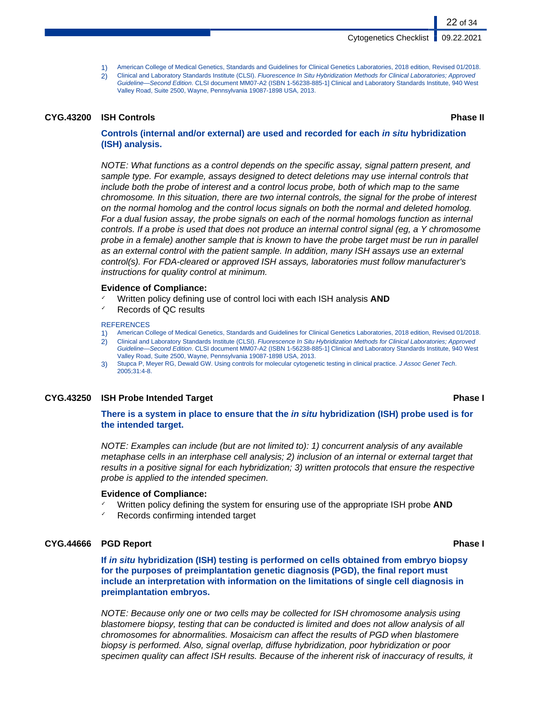- 1) American College of Medical Genetics, Standards and Guidelines for Clinical Genetics Laboratories, 2018 edition, Revised 01/2018.
- 2) Clinical and Laboratory Standards Institute (CLSI). Fluorescence In Situ Hybridization Methods for Clinical Laboratories; Approved Guideline—Second Edition. CLSI document MM07-A2 (ISBN 1-56238-885-1] Clinical and Laboratory Standards Institute, 940 West Valley Road, Suite 2500, Wayne, Pennsylvania 19087-1898 USA, 2013.

#### **CYG.43200 ISH Controls Phase II**

22 of 34

#### **Controls (internal and/or external) are used and recorded for each in situ hybridization (ISH) analysis.**

NOTE: What functions as a control depends on the specific assay, signal pattern present, and sample type. For example, assays designed to detect deletions may use internal controls that include both the probe of interest and a control locus probe, both of which map to the same chromosome. In this situation, there are two internal controls, the signal for the probe of interest on the normal homolog and the control locus signals on both the normal and deleted homolog. For a dual fusion assay, the probe signals on each of the normal homologs function as internal controls. If a probe is used that does not produce an internal control signal (eg, a Y chromosome probe in a female) another sample that is known to have the probe target must be run in parallel as an external control with the patient sample. In addition, many ISH assays use an external control(s). For FDA-cleared or approved ISH assays, laboratories must follow manufacturer's instructions for quality control at minimum.

#### **Evidence of Compliance:**

- Written policy defining use of control loci with each ISH analysis **AND**
- Records of QC results

#### **REFERENCES**

- 1) American College of Medical Genetics, Standards and Guidelines for Clinical Genetics Laboratories, 2018 edition, Revised 01/2018.
- 2) Clinical and Laboratory Standards Institute (CLSI). Fluorescence In Situ Hybridization Methods for Clinical Laboratories; Approved Guideline—Second Edition. CLSI document MM07-A2 (ISBN 1-56238-885-1] Clinical and Laboratory Standards Institute, 940 West Valley Road, Suite 2500, Wayne, Pennsylvania 19087-1898 USA, 2013.
- 3) Stupca P, Meyer RG, Dewald GW. Using controls for molecular cytogenetic testing in clinical practice. J Assoc Genet Tech. 2005;31:4-8.

#### **CYG.43250 ISH Probe Intended Target Phase I**

#### **There is a system in place to ensure that the in situ hybridization (ISH) probe used is for the intended target.**

NOTE: Examples can include (but are not limited to): 1) concurrent analysis of any available metaphase cells in an interphase cell analysis; 2) inclusion of an internal or external target that results in a positive signal for each hybridization; 3) written protocols that ensure the respective probe is applied to the intended specimen.

#### **Evidence of Compliance:**

- Written policy defining the system for ensuring use of the appropriate ISH probe **AND**
- Records confirming intended target

#### **CYG.44666 PGD Report Phase I**

**If in situ hybridization (ISH) testing is performed on cells obtained from embryo biopsy for the purposes of preimplantation genetic diagnosis (PGD), the final report must include an interpretation with information on the limitations of single cell diagnosis in preimplantation embryos.**

NOTE: Because only one or two cells may be collected for ISH chromosome analysis using blastomere biopsy, testing that can be conducted is limited and does not allow analysis of all chromosomes for abnormalities. Mosaicism can affect the results of PGD when blastomere biopsy is performed. Also, signal overlap, diffuse hybridization, poor hybridization or poor specimen quality can affect ISH results. Because of the inherent risk of inaccuracy of results, it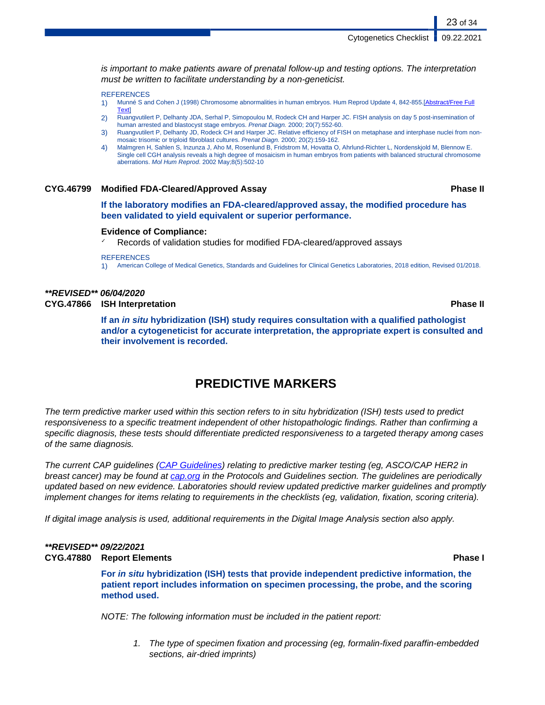is important to make patients aware of prenatal follow-up and testing options. The interpretation must be written to facilitate understanding by a non-geneticist.

#### **REFERENCES**

- 1) Munné S and Cohen J (1998) Chromosome abnormalities in human embryos. Hum Reprod Update 4, 842-855.[\[Abstract/Free Full](http://humupd.oxfordjournals.org/cgi/content/abstract/4/6/842) **[Text](http://humupd.oxfordjournals.org/cgi/content/abstract/4/6/842)**
- 2) Ruangvutilert P, Delhanty JDA, Serhal P, Simopoulou M, Rodeck CH and Harper JC. FISH analysis on day 5 post-insemination of human arrested and blastocyst stage embryos. Prenat Diagn. 2000; 20(7):552-60.
- 3) Ruangvutilert P, Delhanty JD, Rodeck CH and Harper JC. Relative efficiency of FISH on metaphase and interphase nuclei from nonmosaic trisomic or triploid fibroblast cultures. Prenat Diagn. 2000; 20(2):159-162.
- 4) Malmgren H, Sahlen S, Inzunza J, Aho M, Rosenlund B, Fridstrom M, Hovatta O, Ahrlund-Richter L, Nordenskjold M, Blennow E. Single cell CGH analysis reveals a high degree of mosaicism in human embryos from patients with balanced structural chromosome aberrations. Mol Hum Reprod. 2002 May;8(5):502-10

#### **CYG.46799 Modified FDA-Cleared/Approved Assay Phase II**

23 of 34

**If the laboratory modifies an FDA-cleared/approved assay, the modified procedure has been validated to yield equivalent or superior performance.**

#### **Evidence of Compliance:**

Records of validation studies for modified FDA-cleared/approved assays

#### **REFERENCES**

1) American College of Medical Genetics, Standards and Guidelines for Clinical Genetics Laboratories, 2018 edition, Revised 01/2018.

## **\*\*REVISED\*\* 06/04/2020**

**CYG.47866 ISH Interpretation Phase II**

**If an in situ hybridization (ISH) study requires consultation with a qualified pathologist and/or a cytogeneticist for accurate interpretation, the appropriate expert is consulted and their involvement is recorded.**

## **PREDICTIVE MARKERS**

The term predictive marker used within this section refers to in situ hybridization (ISH) tests used to predict responsiveness to a specific treatment independent of other histopathologic findings. Rather than confirming a specific diagnosis, these tests should differentiate predicted responsiveness to a targeted therapy among cases of the same diagnosis.

The current CAP guidelines ([CAP Guidelines](https://www.cap.org/protocols-and-guidelines/current-cap-guidelines)) relating to predictive marker testing (eg, ASCO/CAP HER2 in breast cancer) may be found at [cap.org](http://www.cap.org) in the Protocols and Guidelines section. The guidelines are periodically updated based on new evidence. Laboratories should review updated predictive marker guidelines and promptly implement changes for items relating to requirements in the checklists (eg, validation, fixation, scoring criteria).

If digital image analysis is used, additional requirements in the Digital Image Analysis section also apply.

#### **\*\*REVISED\*\* 09/22/2021 CYG.47880 Report Elements Phase I**

**For in situ hybridization (ISH) tests that provide independent predictive information, the patient report includes information on specimen processing, the probe, and the scoring method used.**

NOTE: The following information must be included in the patient report:

1. The type of specimen fixation and processing (eg, formalin-fixed paraffin-embedded sections, air-dried imprints)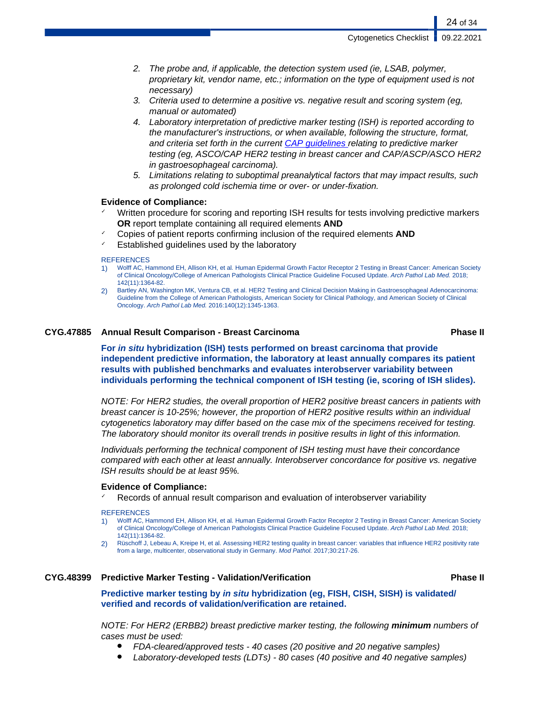- 2. The probe and, if applicable, the detection system used (ie, LSAB, polymer, proprietary kit, vendor name, etc.; information on the type of equipment used is not necessary)
- 3. Criteria used to determine a positive vs. negative result and scoring system (eg, manual or automated)
- 4. Laboratory interpretation of predictive marker testing (ISH) is reported according to the manufacturer's instructions, or when available, following the structure, format, and criteria set forth in the current [CAP guidelines](https://www.cap.org/protocols-and-guidelines/current-cap-guidelines) relating to predictive marker testing (eg, ASCO/CAP HER2 testing in breast cancer and CAP/ASCP/ASCO HER2 in gastroesophageal carcinoma).
- 5. Limitations relating to suboptimal preanalytical factors that may impact results, such as prolonged cold ischemia time or over- or under-fixation.

#### **Evidence of Compliance:**

- Written procedure for scoring and reporting ISH results for tests involving predictive markers **OR** report template containing all required elements **AND**
- ✓ Copies of patient reports confirming inclusion of the required elements **AND**
- Established guidelines used by the laboratory

#### **REFERENCES**

- 1) Wolff AC, Hammond EH, Allison KH, et al. Human Epidermal Growth Factor Receptor 2 Testing in Breast Cancer: American Society of Clinical Oncology/College of American Pathologists Clinical Practice Guideline Focused Update. Arch Pathol Lab Med. 2018; 142(11):1364-82.
- 2) Bartley AN, Washington MK, Ventura CB, et al. HER2 Testing and Clinical Decision Making in Gastroesophageal Adenocarcinoma: Guideline from the College of American Pathologists, American Society for Clinical Pathology, and American Society of Clinical Oncology. Arch Pathol Lab Med. 2016:140(12):1345-1363.

#### **CYG.47885 Annual Result Comparison - Breast Carcinoma Phase II**

**For in situ hybridization (ISH) tests performed on breast carcinoma that provide independent predictive information, the laboratory at least annually compares its patient results with published benchmarks and evaluates interobserver variability between individuals performing the technical component of ISH testing (ie, scoring of ISH slides).**

NOTE: For HER2 studies, the overall proportion of HER2 positive breast cancers in patients with breast cancer is 10-25%; however, the proportion of HER2 positive results within an individual cytogenetics laboratory may differ based on the case mix of the specimens received for testing. The laboratory should monitor its overall trends in positive results in light of this information.

Individuals performing the technical component of ISH testing must have their concordance compared with each other at least annually. Interobserver concordance for positive vs. negative ISH results should be at least 95%.

#### **Evidence of Compliance:**

Records of annual result comparison and evaluation of interobserver variability

#### **REFERENCES**

- 1) Wolff AC, Hammond EH, Allison KH, et al. Human Epidermal Growth Factor Receptor 2 Testing in Breast Cancer: American Society of Clinical Oncology/College of American Pathologists Clinical Practice Guideline Focused Update. Arch Pathol Lab Med. 2018; 142(11):1364-82.
- 2) Rüschoff J, Lebeau A, Kreipe H, et al. Assessing HER2 testing quality in breast cancer: variables that influence HER2 positivity rate from a large, multicenter, observational study in Germany. Mod Pathol. 2017;30:217-26.

#### **CYG.48399 Predictive Marker Testing - Validation/Verification Phase II**

**Predictive marker testing by in situ hybridization (eg, FISH, CISH, SISH) is validated/ verified and records of validation/verification are retained.**

NOTE: For HER2 (ERBB2) breast predictive marker testing, the following **minimum** numbers of cases must be used:

- FDA-cleared/approved tests 40 cases (20 positive and 20 negative samples)
- Laboratory-developed tests (LDTs) 80 cases (40 positive and 40 negative samples)

24 of 34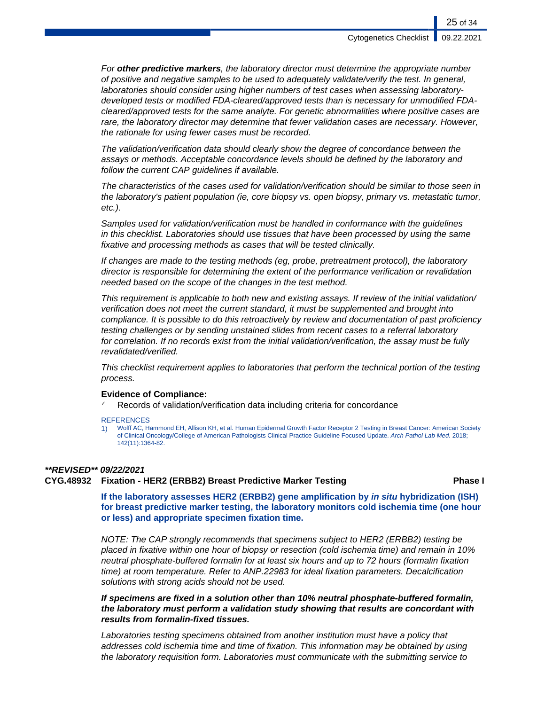For **other predictive markers**, the laboratory director must determine the appropriate number of positive and negative samples to be used to adequately validate/verify the test. In general, laboratories should consider using higher numbers of test cases when assessing laboratorydeveloped tests or modified FDA-cleared/approved tests than is necessary for unmodified FDAcleared/approved tests for the same analyte. For genetic abnormalities where positive cases are rare, the laboratory director may determine that fewer validation cases are necessary. However, the rationale for using fewer cases must be recorded.

The validation/verification data should clearly show the degree of concordance between the assays or methods. Acceptable concordance levels should be defined by the laboratory and follow the current CAP guidelines if available.

The characteristics of the cases used for validation/verification should be similar to those seen in the laboratory's patient population (ie, core biopsy vs. open biopsy, primary vs. metastatic tumor, etc.).

Samples used for validation/verification must be handled in conformance with the guidelines in this checklist. Laboratories should use tissues that have been processed by using the same fixative and processing methods as cases that will be tested clinically.

If changes are made to the testing methods (eg, probe, pretreatment protocol), the laboratory director is responsible for determining the extent of the performance verification or revalidation needed based on the scope of the changes in the test method.

This requirement is applicable to both new and existing assays. If review of the initial validation/ verification does not meet the current standard, it must be supplemented and brought into compliance. It is possible to do this retroactively by review and documentation of past proficiency testing challenges or by sending unstained slides from recent cases to a referral laboratory for correlation. If no records exist from the initial validation/verification, the assay must be fully revalidated/verified.

This checklist requirement applies to laboratories that perform the technical portion of the testing process.

#### **Evidence of Compliance:**

Records of validation/verification data including criteria for concordance

**REFERENCES** 

1) Wolff AC, Hammond EH, Allison KH, et al. Human Epidermal Growth Factor Receptor 2 Testing in Breast Cancer: American Society of Clinical Oncology/College of American Pathologists Clinical Practice Guideline Focused Update. Arch Pathol Lab Med. 2018; 142(11):1364-82.

#### **\*\*REVISED\*\* 09/22/2021**

#### **CYG.48932 Fixation - HER2 (ERBB2) Breast Predictive Marker Testing Phase I**

**If the laboratory assesses HER2 (ERBB2) gene amplification by in situ hybridization (ISH) for breast predictive marker testing, the laboratory monitors cold ischemia time (one hour or less) and appropriate specimen fixation time.**

NOTE: The CAP strongly recommends that specimens subject to HER2 (ERBB2) testing be placed in fixative within one hour of biopsy or resection (cold ischemia time) and remain in 10% neutral phosphate-buffered formalin for at least six hours and up to 72 hours (formalin fixation time) at room temperature. Refer to ANP.22983 for ideal fixation parameters. Decalcification solutions with strong acids should not be used.

**If specimens are fixed in a solution other than 10% neutral phosphate-buffered formalin, the laboratory must perform a validation study showing that results are concordant with results from formalin-fixed tissues.**

Laboratories testing specimens obtained from another institution must have a policy that addresses cold ischemia time and time of fixation. This information may be obtained by using the laboratory requisition form. Laboratories must communicate with the submitting service to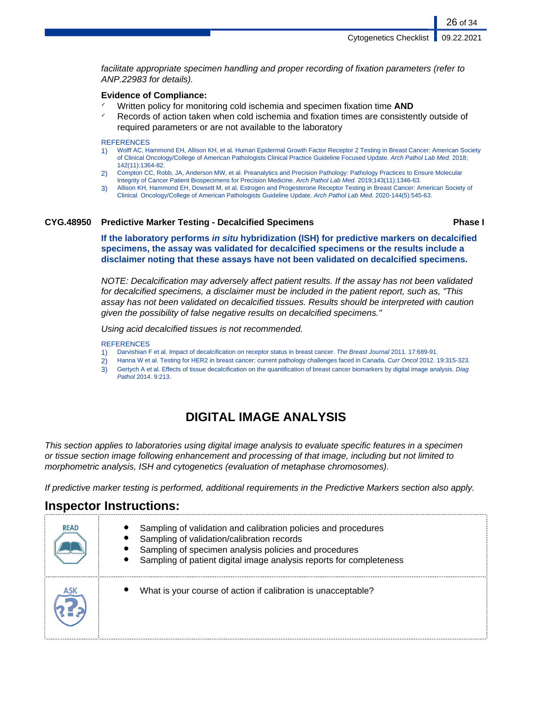facilitate appropriate specimen handling and proper recording of fixation parameters (refer to ANP.22983 for details).

#### **Evidence of Compliance:**

- ✓ Written policy for monitoring cold ischemia and specimen fixation time **AND**
- $\checkmark$  Records of action taken when cold ischemia and fixation times are consistently outside of required parameters or are not available to the laboratory

#### **REFERENCES**

- 1) Wolff AC, Hammond EH, Allison KH, et al. Human Epidermal Growth Factor Receptor 2 Testing in Breast Cancer: American Society of Clinical Oncology/College of American Pathologists Clinical Practice Guideline Focused Update. Arch Pathol Lab Med. 2018; 142(11):1364-82.
- 2) Compton CC, Robb, JA, Anderson MW, et al. Preanalytics and Precision Pathology: Pathology Practices to Ensure Molecular
- Integrity of Cancer Patient Biospecimens for Precision Medicine. Arch Pathol Lab Med. 2019;143(11):1346-63.
- 3) Allison KH, Hammond EH, Dowsett M, et al. Estrogen and Progesterone Receptor Testing in Breast Cancer: American Society of Clinical Oncology/College of American Pathologists Guideline Update. Arch Pathol Lab Med. 2020-144(5):545-63.

#### **CYG.48950 Predictive Marker Testing - Decalcified Specimens Phase I**

26 of 34

**If the laboratory performs in situ hybridization (ISH) for predictive markers on decalcified specimens, the assay was validated for decalcified specimens or the results include a disclaimer noting that these assays have not been validated on decalcified specimens.**

NOTE: Decalcification may adversely affect patient results. If the assay has not been validated for decalcified specimens, a disclaimer must be included in the patient report, such as, "This assay has not been validated on decalcified tissues. Results should be interpreted with caution given the possibility of false negative results on decalcified specimens."

Using acid decalcified tissues is not recommended.

#### **REFERENCES**

- 1) Darvishian F et al. Impact of decalcification on receptor status in breast cancer. The Breast Journal 2011. 17:689-91.
- 2) Hanna W et al. Testing for HER2 in breast cancer: current pathology challenges faced in Canada. Curr Oncol 2012. 19:315-323.
- 3) Gertych A et al. Effects of tissue decalcification on the quantification of breast cancer biomarkers by digital image analysis. Diag Pathol 2014. 9:213.

## **DIGITAL IMAGE ANALYSIS**

This section applies to laboratories using digital image analysis to evaluate specific features in a specimen or tissue section image following enhancement and processing of that image, including but not limited to morphometric analysis, ISH and cytogenetics (evaluation of metaphase chromosomes).

If predictive marker testing is performed, additional requirements in the Predictive Markers section also apply.

## **Inspector Instructions:**

| <b>READ</b> | Sampling of validation and calibration policies and procedures<br>Sampling of validation/calibration records<br>Sampling of specimen analysis policies and procedures<br>Sampling of patient digital image analysis reports for completeness |
|-------------|----------------------------------------------------------------------------------------------------------------------------------------------------------------------------------------------------------------------------------------------|
|             | What is your course of action if calibration is unacceptable?                                                                                                                                                                                |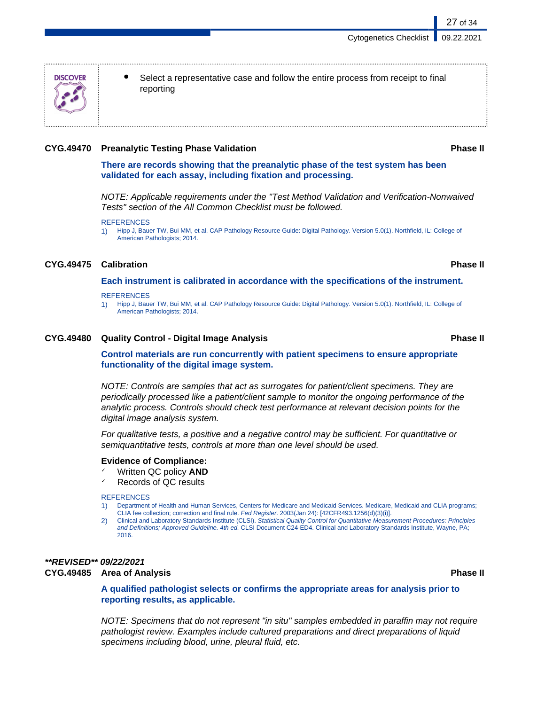Select a representative case and follow the entire process from receipt to final reporting

#### **CYG.49470 Preanalytic Testing Phase Validation Phase II**

**There are records showing that the preanalytic phase of the test system has been validated for each assay, including fixation and processing.**

NOTE: Applicable requirements under the "Test Method Validation and Verification-Nonwaived Tests" section of the All Common Checklist must be followed.

1) Hipp J, Bauer TW, Bui MM, et al. CAP Pathology Resource Guide: Digital Pathology. Version 5.0(1). Northfield, IL: College of American Pathologists; 2014.

#### **CYG.49475 Calibration Phase II**

**Each instrument is calibrated in accordance with the specifications of the instrument.**

**REFERENCES** 

1) Hipp J, Bauer TW, Bui MM, et al. CAP Pathology Resource Guide: Digital Pathology. Version 5.0(1). Northfield, IL: College of American Pathologists; 2014.

#### **CYG.49480 Quality Control - Digital Image Analysis Phase II**

**Control materials are run concurrently with patient specimens to ensure appropriate functionality of the digital image system.**

NOTE: Controls are samples that act as surrogates for patient/client specimens. They are periodically processed like a patient/client sample to monitor the ongoing performance of the analytic process. Controls should check test performance at relevant decision points for the digital image analysis system.

For qualitative tests, a positive and a negative control may be sufficient. For quantitative or semiquantitative tests, controls at more than one level should be used.

#### **Evidence of Compliance:**

- ✓ Written QC policy **AND**
- Records of QC results

#### **REFERENCES**

- 1) Department of Health and Human Services, Centers for Medicare and Medicaid Services. Medicare, Medicaid and CLIA programs; CLIA fee collection; correction and final rule. Fed Register. 2003(Jan 24): [42CFR493.1256(d)(3)(i)].
- 2) Clinical and Laboratory Standards Institute (CLSI). Statistical Quality Control for Quantitative Measurement Procedures: Principles and Definitions; Approved Guideline. 4th ed. CLSI Document C24-ED4. Clinical and Laboratory Standards Institute, Wayne, PA; 2016.

## **\*\*REVISED\*\* 09/22/2021**

#### **CYG.49485 Area of Analysis Phase II**

**A qualified pathologist selects or confirms the appropriate areas for analysis prior to reporting results, as applicable.**

NOTE: Specimens that do not represent "in situ" samples embedded in paraffin may not require pathologist review. Examples include cultured preparations and direct preparations of liquid specimens including blood, urine, pleural fluid, etc.



**REFERENCES**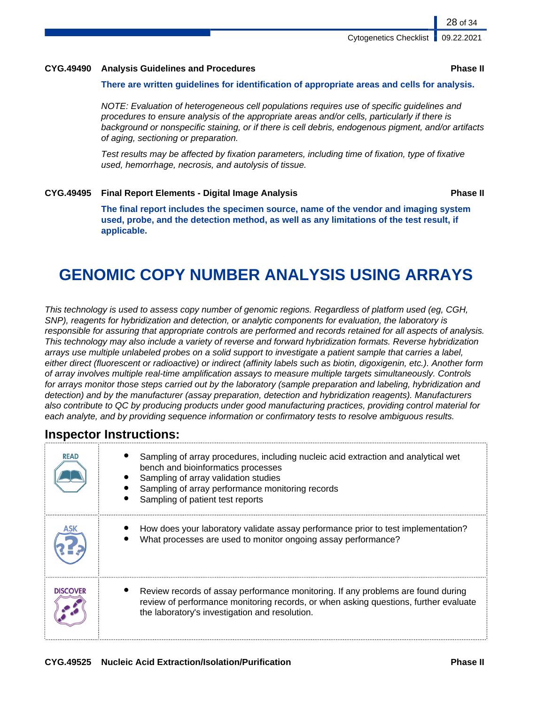#### **CYG.49490 Analysis Guidelines and Procedures Phase II**

#### **There are written guidelines for identification of appropriate areas and cells for analysis.**

NOTE: Evaluation of heterogeneous cell populations requires use of specific guidelines and procedures to ensure analysis of the appropriate areas and/or cells, particularly if there is background or nonspecific staining, or if there is cell debris, endogenous pigment, and/or artifacts of aging, sectioning or preparation.

Test results may be affected by fixation parameters, including time of fixation, type of fixative used, hemorrhage, necrosis, and autolysis of tissue.

#### **CYG.49495 Final Report Elements - Digital Image Analysis Phase II**

**The final report includes the specimen source, name of the vendor and imaging system used, probe, and the detection method, as well as any limitations of the test result, if applicable.**

# **GENOMIC COPY NUMBER ANALYSIS USING ARRAYS**

This technology is used to assess copy number of genomic regions. Regardless of platform used (eg, CGH, SNP), reagents for hybridization and detection, or analytic components for evaluation, the laboratory is responsible for assuring that appropriate controls are performed and records retained for all aspects of analysis. This technology may also include a variety of reverse and forward hybridization formats. Reverse hybridization arrays use multiple unlabeled probes on a solid support to investigate a patient sample that carries a label, either direct (fluorescent or radioactive) or indirect (affinity labels such as biotin, digoxigenin, etc.). Another form of array involves multiple real-time amplification assays to measure multiple targets simultaneously. Controls for arrays monitor those steps carried out by the laboratory (sample preparation and labeling, hybridization and detection) and by the manufacturer (assay preparation, detection and hybridization reagents). Manufacturers also contribute to QC by producing products under good manufacturing practices, providing control material for each analyte, and by providing sequence information or confirmatory tests to resolve ambiguous results.

## **Inspector Instructions:**

| <b>READ</b>     | Sampling of array procedures, including nucleic acid extraction and analytical wet<br>bench and bioinformatics processes<br>Sampling of array validation studies<br>Sampling of array performance monitoring records<br>Sampling of patient test reports |
|-----------------|----------------------------------------------------------------------------------------------------------------------------------------------------------------------------------------------------------------------------------------------------------|
|                 | How does your laboratory validate assay performance prior to test implementation?<br>What processes are used to monitor ongoing assay performance?                                                                                                       |
| <b>DISCOVER</b> | Review records of assay performance monitoring. If any problems are found during<br>review of performance monitoring records, or when asking questions, further evaluate<br>the laboratory's investigation and resolution.                               |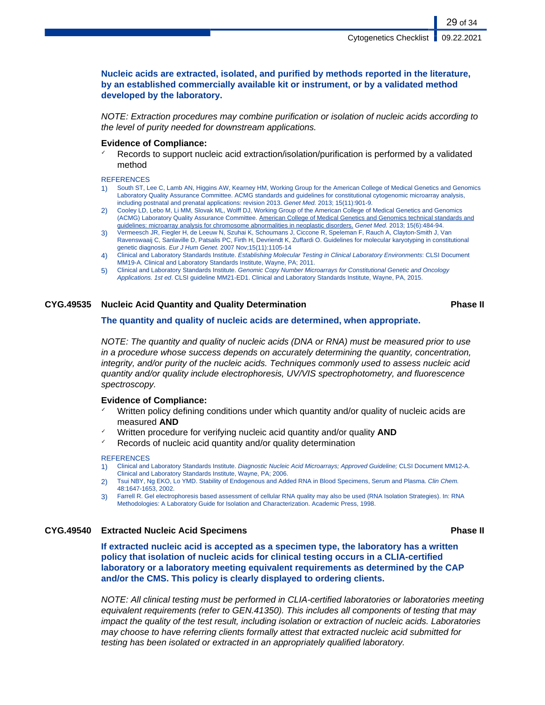**Nucleic acids are extracted, isolated, and purified by methods reported in the literature, by an established commercially available kit or instrument, or by a validated method developed by the laboratory.**

NOTE: Extraction procedures may combine purification or isolation of nucleic acids according to the level of purity needed for downstream applications.

#### **Evidence of Compliance:**

Records to support nucleic acid extraction/isolation/purification is performed by a validated method

#### **REFERENCES**

- 1) South ST, Lee C, Lamb AN, Higgins AW, Kearney HM, Working Group for the American College of Medical Genetics and Genomics Laboratory Quality Assurance Committee. ACMG standards and guidelines for constitutional cytogenomic microarray analysis, including postnatal and prenatal applications: revision 2013. Genet Med. 2013; 15(11):901-9.
- 2) Cooley LD, Lebo M, Li MM, Slovak ML, Wolff DJ, Working Group of the American College of Medical Genetics and Genomics (ACMG) Laboratory Quality Assurance Committee. American College of Medical Genetics and Genomics technical standards and guidelines: microarray analysis for chromosome abnormalities in neoplastic disorders. Genet Med. 2013; 15(6):484-94.
- 3) Vermeesch JR, Fiegler H, de Leeuw N, Szuhai K, Schoumans J, Ciccone R, Speleman F, Rauch A, Clayton-Smith J, Van Ravenswaaij C, Sanlaville D, Patsalis PC, Firth H, Devriendt K, Zuffardi O. Guidelines for molecular karyotyping in constitutional genetic diagnosis. Eur J Hum Genet. 2007 Nov;15(11):1105-14
- 4) Clinical and Laboratory Standards Institute. Establishing Molecular Testing in Clinical Laboratory Environments: CLSI Document MM19-A. Clinical and Laboratory Standards Institute, Wayne, PA; 2011.
- 5) Clinical and Laboratory Standards Institute. Genomic Copy Number Microarrays for Constitutional Genetic and Oncology Applications. 1st ed. CLSI guideline MM21-ED1. Clinical and Laboratory Standards Institute, Wayne, PA, 2015.

#### **CYG.49535 Nucleic Acid Quantity and Quality Determination Phase II**

#### **The quantity and quality of nucleic acids are determined, when appropriate.**

NOTE: The quantity and quality of nucleic acids (DNA or RNA) must be measured prior to use in a procedure whose success depends on accurately determining the quantity, concentration, integrity, and/or purity of the nucleic acids. Techniques commonly used to assess nucleic acid quantity and/or quality include electrophoresis, UV/VIS spectrophotometry, and fluorescence spectroscopy.

#### **Evidence of Compliance:**

- Written policy defining conditions under which quantity and/or quality of nucleic acids are measured **AND**
- Written procedure for verifying nucleic acid quantity and/or quality **AND**
- Records of nucleic acid quantity and/or quality determination

#### **REFERENCES**

- 1) Clinical and Laboratory Standards Institute. Diagnostic Nucleic Acid Microarrays; Approved Guideline; CLSI Document MM12-A. Clinical and Laboratory Standards Institute, Wayne, PA; 2006.
- 2) Tsui NBY, Ng EKO, Lo YMD. Stability of Endogenous and Added RNA in Blood Specimens, Serum and Plasma. Clin Chem. 48:1647-1653, 2002.
- 3) Farrell R. Gel electrophoresis based assessment of cellular RNA quality may also be used (RNA Isolation Strategies). In: RNA Methodologies: A Laboratory Guide for Isolation and Characterization. Academic Press, 1998.

#### **CYG.49540 Extracted Nucleic Acid Specimens Phase II**

**If extracted nucleic acid is accepted as a specimen type, the laboratory has a written policy that isolation of nucleic acids for clinical testing occurs in a CLIA-certified laboratory or a laboratory meeting equivalent requirements as determined by the CAP and/or the CMS. This policy is clearly displayed to ordering clients.**

NOTE: All clinical testing must be performed in CLIA-certified laboratories or laboratories meeting equivalent requirements (refer to GEN.41350). This includes all components of testing that may impact the quality of the test result, including isolation or extraction of nucleic acids. Laboratories may choose to have referring clients formally attest that extracted nucleic acid submitted for testing has been isolated or extracted in an appropriately qualified laboratory.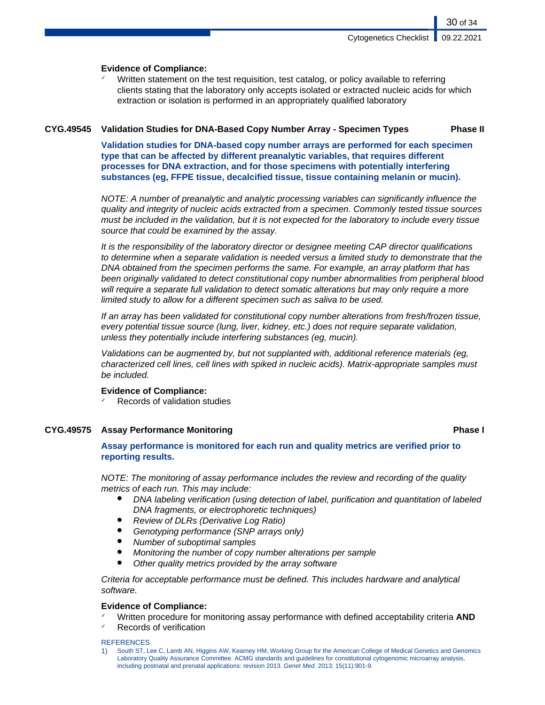### **Evidence of Compliance:**

Written statement on the test requisition, test catalog, or policy available to referring clients stating that the laboratory only accepts isolated or extracted nucleic acids for which extraction or isolation is performed in an appropriately qualified laboratory

### **CYG.49545 Validation Studies for DNA-Based Copy Number Array - Specimen Types Phase II**

**Validation studies for DNA-based copy number arrays are performed for each specimen type that can be affected by different preanalytic variables, that requires different processes for DNA extraction, and for those specimens with potentially interfering substances (eg, FFPE tissue, decalcified tissue, tissue containing melanin or mucin).**

NOTE: A number of preanalytic and analytic processing variables can significantly influence the quality and integrity of nucleic acids extracted from a specimen. Commonly tested tissue sources must be included in the validation, but it is not expected for the laboratory to include every tissue source that could be examined by the assay.

It is the responsibility of the laboratory director or designee meeting CAP director qualifications to determine when a separate validation is needed versus a limited study to demonstrate that the DNA obtained from the specimen performs the same. For example, an array platform that has been originally validated to detect constitutional copy number abnormalities from peripheral blood will require a separate full validation to detect somatic alterations but may only require a more limited study to allow for a different specimen such as saliva to be used.

If an array has been validated for constitutional copy number alterations from fresh/frozen tissue, every potential tissue source (lung, liver, kidney, etc.) does not require separate validation, unless they potentially include interfering substances (eg, mucin).

Validations can be augmented by, but not supplanted with, additional reference materials (eg, characterized cell lines, cell lines with spiked in nucleic acids). Matrix-appropriate samples must be included.

### **Evidence of Compliance:**

Records of validation studies

### **CYG.49575 Assay Performance Monitoring Phase I**

**Assay performance is monitored for each run and quality metrics are verified prior to reporting results.**

NOTE: The monitoring of assay performance includes the review and recording of the quality metrics of each run. This may include:

- DNA labeling verification (using detection of label, purification and quantitation of labeled DNA fragments, or electrophoretic techniques)
- **Review of DLRs (Derivative Log Ratio)**
- Genotyping performance (SNP arrays only)
- Number of suboptimal samples
- Monitoring the number of copy number alterations per sample
- Other quality metrics provided by the array software

Criteria for acceptable performance must be defined. This includes hardware and analytical software.

#### **Evidence of Compliance:**

- ✓ Written procedure for monitoring assay performance with defined acceptability criteria **AND**
- Records of verification

#### **REFERENCES**

1) South ST, Lee C, Lamb AN, Higgins AW, Kearney HM, Working Group for the American College of Medical Genetics and Genomics Laboratory Quality Assurance Committee. ACMG standards and guidelines for constitutional cytogenomic microarray analysis, including postnatal and prenatal applications: revision 2013. Genet Med. 2013; 15(11):901-9.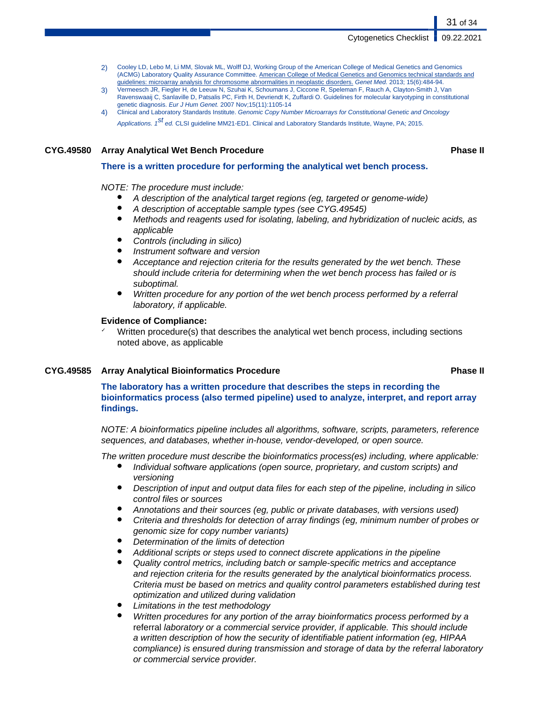- 2) Cooley LD, Lebo M, Li MM, Slovak ML, Wolff DJ, Working Group of the American College of Medical Genetics and Genomics (ACMG) Laboratory Quality Assurance Committee. American College of Medical Genetics and Genomics technical standards and guidelines: microarray analysis for chromosome abnormalities in neoplastic disorders. Genet Med. 2013; 15(6):484-94.
- 3) Vermeesch JR, Fiegler H, de Leeuw N, Szuhai K, Schoumans J, Ciccone R, Speleman F, Rauch A, Clayton-Smith J, Van Ravenswaaij C, Sanlaville D, Patsalis PC, Firth H, Devriendt K, Zuffardi O. Guidelines for molecular karyotyping in constitutional genetic diagnosis. Eur J Hum Genet. 2007 Nov;15(11):1105-14
- 4) Clinical and Laboratory Standards Institute. Genomic Copy Number Microarrays for Constitutional Genetic and Oncology Applications. 1<sup>St</sup> ed. CLSI guideline MM21-ED1. Clinical and Laboratory Standards Institute, Wayne, PA; 2015.

#### **CYG.49580 Array Analytical Wet Bench Procedure Phase II**

#### **There is a written procedure for performing the analytical wet bench process.**

#### NOTE: The procedure must include:

- A description of the analytical target regions (eg, targeted or genome-wide)
- A description of acceptable sample types (see CYG.49545)
- Methods and reagents used for isolating, labeling, and hybridization of nucleic acids, as applicable
- Controls (including in silico)
- Instrument software and version
- Acceptance and rejection criteria for the results generated by the wet bench. These should include criteria for determining when the wet bench process has failed or is suboptimal.
- Written procedure for any portion of the wet bench process performed by a referral laboratory, if applicable.

#### **Evidence of Compliance:**

Written procedure(s) that describes the analytical wet bench process, including sections noted above, as applicable

#### **CYG.49585 Array Analytical Bioinformatics Procedure Phase II**

**The laboratory has a written procedure that describes the steps in recording the bioinformatics process (also termed pipeline) used to analyze, interpret, and report array findings.**

NOTE: A bioinformatics pipeline includes all algorithms, software, scripts, parameters, reference sequences, and databases, whether in-house, vendor-developed, or open source.

The written procedure must describe the bioinformatics process(es) including, where applicable:

- Individual software applications (open source, proprietary, and custom scripts) and versioning
- Description of input and output data files for each step of the pipeline, including in silico control files or sources
- Annotations and their sources (eg, public or private databases, with versions used)
- Criteria and thresholds for detection of array findings (eg, minimum number of probes or genomic size for copy number variants)
- Determination of the limits of detection
- Additional scripts or steps used to connect discrete applications in the pipeline
- Quality control metrics, including batch or sample-specific metrics and acceptance and rejection criteria for the results generated by the analytical bioinformatics process. Criteria must be based on metrics and quality control parameters established during test optimization and utilized during validation
- Limitations in the test methodology
- Written procedures for any portion of the array bioinformatics process performed by a referral laboratory or a commercial service provider, if applicable. This should include a written description of how the security of identifiable patient information (eg, HIPAA compliance) is ensured during transmission and storage of data by the referral laboratory or commercial service provider.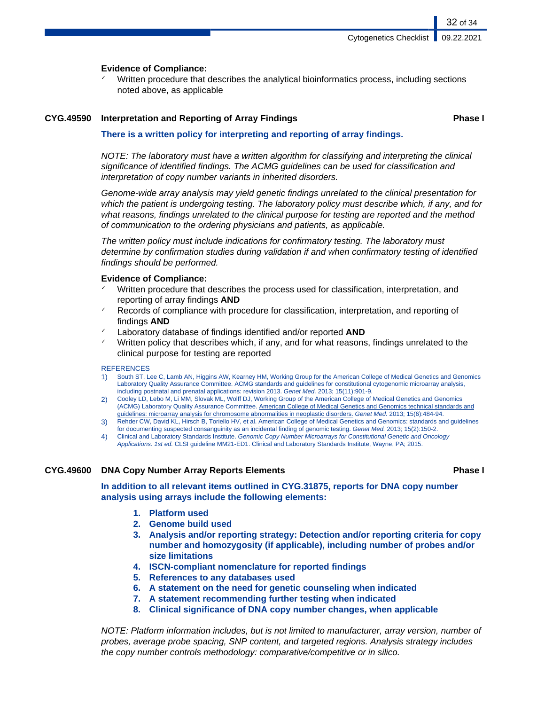#### **Evidence of Compliance:**

Written procedure that describes the analytical bioinformatics process, including sections noted above, as applicable

#### **CYG.49590 Interpretation and Reporting of Array Findings Phase I**

32 of 34

#### **There is a written policy for interpreting and reporting of array findings.**

NOTE: The laboratory must have a written algorithm for classifying and interpreting the clinical significance of identified findings. The ACMG guidelines can be used for classification and interpretation of copy number variants in inherited disorders.

Genome-wide array analysis may yield genetic findings unrelated to the clinical presentation for which the patient is undergoing testing. The laboratory policy must describe which, if any, and for what reasons, findings unrelated to the clinical purpose for testing are reported and the method of communication to the ordering physicians and patients, as applicable.

The written policy must include indications for confirmatory testing. The laboratory must determine by confirmation studies during validation if and when confirmatory testing of identified findings should be performed.

#### **Evidence of Compliance:**

- Written procedure that describes the process used for classification, interpretation, and reporting of array findings **AND**
- Records of compliance with procedure for classification, interpretation, and reporting of findings **AND**
- Laboratory database of findings identified and/or reported **AND**
- Written policy that describes which, if any, and for what reasons, findings unrelated to the clinical purpose for testing are reported

#### **REFERENCES**

- 1) South ST, Lee C, Lamb AN, Higgins AW, Kearney HM, Working Group for the American College of Medical Genetics and Genomics Laboratory Quality Assurance Committee. ACMG standards and guidelines for constitutional cytogenomic microarray analysis, including postnatal and prenatal applications: revision 2013. Genet Med. 2013; 15(11):901-9.
- 2) Cooley LD, Lebo M, Li MM, Slovak ML, Wolff DJ, Working Group of the American College of Medical Genetics and Genomics (ACMG) Laboratory Quality Assurance Committee. American College of Medical Genetics and Genomics technical standards and guidelines: microarray analysis for chromosome abnormalities in neoplastic disorders. Genet Med. 2013; 15(6):484-94.
- 3) Rehder CW, David KL, Hirsch B, Toriello HV, et al. American College of Medical Genetics and Genomics: standards and guidelines for documenting suspected consanguinity as an incidental finding of genomic testing. Genet Med. 2013; 15(2):150-2.
- 4) Clinical and Laboratory Standards Institute. Genomic Copy Number Microarrays for Constitutional Genetic and Oncology Applications. 1st ed. CLSI guideline MM21-ED1. Clinical and Laboratory Standards Institute, Wayne, PA; 2015.

#### **CYG.49600 DNA Copy Number Array Reports Elements Phase I**

**In addition to all relevant items outlined in CYG.31875, reports for DNA copy number analysis using arrays include the following elements:**

- **1. Platform used**
- **2. Genome build used**
- **3. Analysis and/or reporting strategy: Detection and/or reporting criteria for copy number and homozygosity (if applicable), including number of probes and/or size limitations**
- **4. ISCN-compliant nomenclature for reported findings**
- **5. References to any databases used**
- **6. A statement on the need for genetic counseling when indicated**
- **7. A statement recommending further testing when indicated**
- **8. Clinical significance of DNA copy number changes, when applicable**

NOTE: Platform information includes, but is not limited to manufacturer, array version, number of probes, average probe spacing, SNP content, and targeted regions. Analysis strategy includes the copy number controls methodology: comparative/competitive or in silico.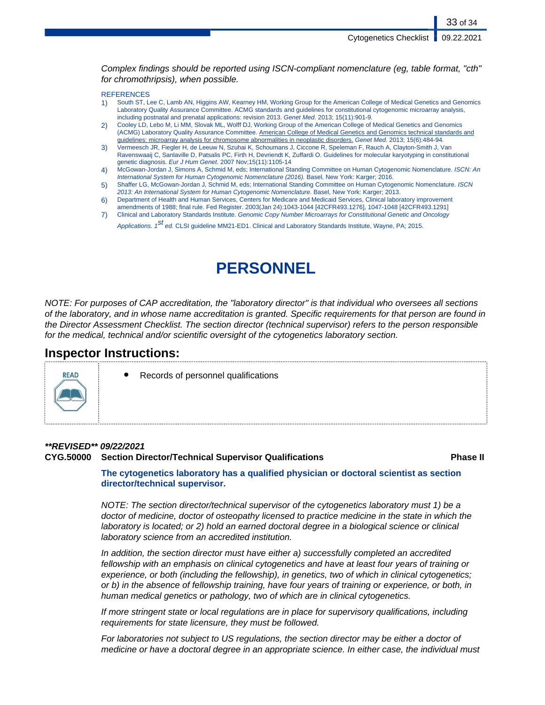Complex findings should be reported using ISCN-compliant nomenclature (eg, table format, "cth" for chromothripsis), when possible.

#### **REFERENCES**

- 1) South ST, Lee C, Lamb AN, Higgins AW, Kearney HM, Working Group for the American College of Medical Genetics and Genomics Laboratory Quality Assurance Committee. ACMG standards and guidelines for constitutional cytogenomic microarray analysis, including postnatal and prenatal applications: revision 2013. Genet Med. 2013; 15(11):901-9.
- 2) Cooley LD, Lebo M, Li MM, Slovak ML, Wolff DJ, Working Group of the American College of Medical Genetics and Genomics (ACMG) Laboratory Quality Assurance Committee. American College of Medical Genetics and Genomics technical standards and guidelines: microarray analysis for chromosome abnormalities in neoplastic disorders. Genet Med. 2013; 15(6):484-94.
- 3) Vermeesch JR, Fiegler H, de Leeuw N, Szuhai K, Schoumans J, Ciccone R, Speleman F, Rauch A, Clayton-Smith J, Van Ravenswaaij C, Sanlaville D, Patsalis PC, Firth H, Devriendt K, Zuffardi O. Guidelines for molecular karyotyping in constitutional genetic diagnosis. Eur J Hum Genet. 2007 Nov;15(11):1105-14
- 4) McGowan-Jordan J, Simons A, Schmid M, eds; International Standing Committee on Human Cytogenomic Nomenclature. ISCN: An International System for Human Cytogenomic Nomenclature (2016). Basel, New York: Karger; 2016.
- 5) Shaffer LG, McGowan-Jordan J, Schmid M, eds; International Standing Committee on Human Cytogenomic Nomenclature. ISCN 2013: An International System for Human Cytogenomic Nomenclature. Basel, New York: Karger; 2013.
- 6) Department of Health and Human Services, Centers for Medicare and Medicaid Services, Clinical laboratory improvement
- amendments of 1988; final rule. Fed Register. 2003(Jan 24):1043-1044 [42CFR493.1276], 1047-1048 [42CFR493.1291] 7) Clinical and Laboratory Standards Institute. Genomic Copy Number Microarrays for Constitutional Genetic and Oncology
	- Applications. 1<sup>St</sup> ed. CLSI guideline MM21-ED1. Clinical and Laboratory Standards Institute, Wayne, PA; 2015.

# **PERSONNEL**

NOTE: For purposes of CAP accreditation, the "laboratory director" is that individual who oversees all sections of the laboratory, and in whose name accreditation is granted. Specific requirements for that person are found in the Director Assessment Checklist. The section director (technical supervisor) refers to the person responsible for the medical, technical and/or scientific oversight of the cytogenetics laboratory section.

### **Inspector Instructions:**

Records of personnel qualifications

#### **\*\*REVISED\*\* 09/22/2021**

RFAD

### **CYG.50000 Section Director/Technical Supervisor Qualifications Phase II**

**The cytogenetics laboratory has a qualified physician or doctoral scientist as section director/technical supervisor.**

NOTE: The section director/technical supervisor of the cytogenetics laboratory must 1) be a doctor of medicine, doctor of osteopathy licensed to practice medicine in the state in which the laboratory is located; or 2) hold an earned doctoral degree in a biological science or clinical laboratory science from an accredited institution.

In addition, the section director must have either a) successfully completed an accredited fellowship with an emphasis on clinical cytogenetics and have at least four years of training or experience, or both (including the fellowship), in genetics, two of which in clinical cytogenetics; or b) in the absence of fellowship training, have four years of training or experience, or both, in human medical genetics or pathology, two of which are in clinical cytogenetics.

If more stringent state or local regulations are in place for supervisory qualifications, including requirements for state licensure, they must be followed.

For laboratories not subject to US regulations, the section director may be either a doctor of medicine or have a doctoral degree in an appropriate science. In either case, the individual must